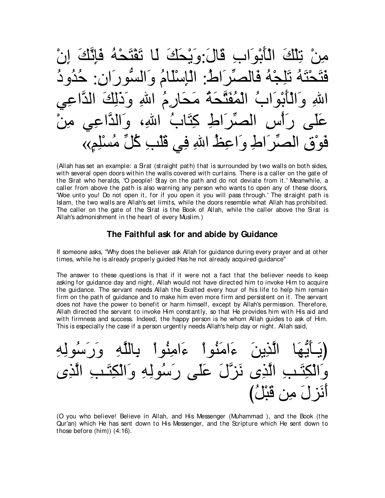نِنْاكَ الْأَنْوَ ابِ قَالَ∙و َبْحَكَ ڵا نَقْتَحْهُ فَ فالصدِّر اط∙ِ الله∟في و السيّو ر اللهِ وَالْمَأْبُوَابُ الْمُفَتَّحَةَ مَحَارِمُ اللهِ وَدَلِكَ الدَّاعِي عَلَى رَأْسِ الْصَّرِّاطِ كِتَابُ اللهِ، وَالدَّاعِي مِنْ مَرَاطِ وَاعِظَ اللهِ فِي قَلْبِ كُلِّ مُسْلِ

(Allah has set an example: a Strat (straight path) that is surrounded by two walls on both sides, with several open doors within the walls covered with curtains. There is a caller on the gate of the Srat who heralds, 'O people! Stay on the path and do not deviate from it.' Meanwhile, a caller from above the path is also warning any person who wants to open any of these doors, 'Woe unto you! Do not open it, for if you open it you will pass through.' The straight path is Islam, the two walls are Allah's set limits, while the doors resemble what Allah has prohibited. The caller on the gate of the Sirat is the Book of Allah, while the caller above the Sirat is Allah's admonishment in the heart of every Muslim.)

# **The Faithful ask for and abide by Guidance**

If someone asks, "Why does the believer ask Allah for guidance during every prayer and at other times, while he is already properly guided Has he not already acquired guidance''

The answer to these questions is that if it were not a fact that the believer needs to keep asking for guidance day and night, Allah would not have directed him to invoke Him to acquire the guidance. The servant needs Allah the Exalted every hour of his life to help him remain firm on the path of guidance and to make him even more firm and persistent on it. The servant does not have the power to benefit or harm himself, except by Allah's permission. Therefore, Allah directed the servant to invoke Him constantly, so that He provides him with His aid and with firmness and success. Indeed, the happy person is he whom Allah guides to ask of Him. This is especially the case if a person urgently needs Allah's help day or night. Allah said,



(O you who believe! Believe in Allah, and His Messenger (Muhammad ), and the Book (the Qur'an) which He has sent down to His Messenger, and the Scripture which He sent down to those before (him)) (4:16).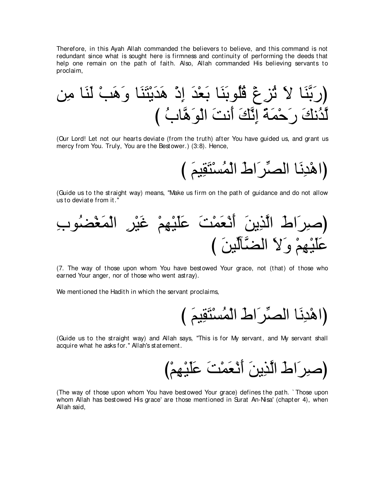Therefore, in this Ayah Allah commanded the believers to believe, and this command is not redundant since what is sought here is firmness and continuity of performing the deeds that help one remain on the path of faith. Also, Allah commanded His believing servants to proclaim,

リ⌒ョ ゅ∠レ∠ャ ∇ょ∠ワ∠ヱ ゅ∠レ∠わ∇Α∠ギ∠ワ ∇ク⌒ま ∠ギ∇バ∠よ ゅ∠レ∠よヲ⊥ヤ⊥ホ ∇パ⌒ゴ⊥ゎ ∠Ι ゅ∠レzよ∠ケぴ び ⊥ゆゅzワ∠ヲ∇ャや ∠ろル∠ぺ ∠マzル⌒ま ⇔る∠ヨ∇ェ∠ケ ∠マル⊥ギzャ

(Our Lord! Let not our hearts deviate (from the truth) after You have guided us, and grant us mercy from You. Truly, You are the Bestower.) (3:8). Hence,

(اهْدِنَا الْصِّرِّ الْمُسْتَقِيمَ )

(Guide us to the straight way) means, "Make us firm on the path of guidance and do not allow us to deviate from it.''



(7. The way of those upon whom You have bestowed Your grace, not (that) of those who earned Your anger, nor of those who went astray).

We mentioned the Hadith in which the servant proclaims,

び ∠ユΒ⌒ボ∠わ∇ジ⊥ヨ∇ャや ∠ヅや∠ゲあダャや ゅ∠ル⌒ギ∇ワやぴ

(Guide us to the straight way) and Allah says, "This is for My servant, and My servant shall acquire what he asks for.'' Allah's statement.

び∇ユ⌒ヰ∇Β∠ヤ∠ハ ∠ろ∇ヨ∠バ∇ル∠ぺ ∠リΑ⌒グzャや ∠ヅや∠ゲ⌒タぴ

(The way of those upon whom You have bestowed Your grace) defines the path. ` Those upon whom Allah has bestowed His grace' are those mentioned in Surat An-Nisa' (chapter 4), when Allah said,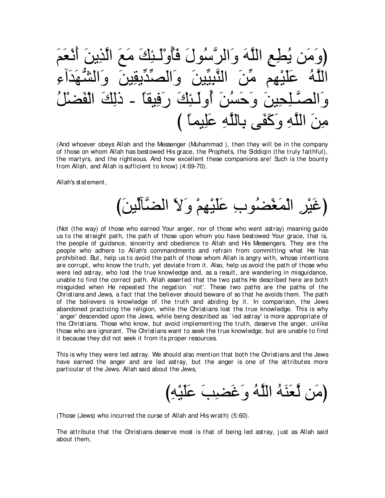∠ユ∠バ∇ル∠ぺ ∠リΑ⌒グzャや ∠ノ∠ョ ∠マ⌒ゃ⇒∠ャ∇ヱ⊥ほ∠プ ∠メヲ⊥シzゲャや∠ヱ ∠ヮzヤャや ⌒ノ⌒ト⊥Α リ∠ョ∠ヱぴ ⌒¬へ∠ギ∠ヰぁゼャや∠ヱ ∠リΒ⌒ボΑあギあダャや∠ヱ ∠リΒあΒ⌒らzレャや ∠リあョ ユ⌒ヰ∇Β∠ヤ∠ハ ⊥ヮzヤャや ⊥モ∇ツ∠ヘ∇ャや ∠マ⌒ャク - ⇔ゅボΒ⌒プ∠ケ ∠マ⌒ゃ⇒∠ャヱ⊥ぺ ∠リ⊥ジ∠ェ∠ヱ ∠リΒ⌒エ⌒ヤ⇒zダャや∠ヱ び ⇔ゅヨΒ⌒ヤ∠ハ ⌒ヮzヤャゅ⌒よ ヴ∠ヘ∠ミ∠ヱ ⌒ヮzヤャや ∠リ⌒ョ

(And whoever obeys Allah and the Messenger (Muhammad ), then they will be in the company of those on whom Allah has bestowed His grace, the Prophets, the Siddiqin (the truly faithful), the martyrs, and the righteous. And how excellent these companions are! Such is the bounty from Allah, and Allah is sufficient to know) (4:69-70).

Allah's statement,

(غَيْرِ الْمَغْضُوبِ عَلَيْهِمْ وَلاَ الضَّأَلَّينَ)

(Not (the way) of those who earned Your anger, nor of those who went astray) meaning guide us to the straight path, the path of those upon whom you have bestowed Your grace, that is, the people of guidance, sincerity and obedience to Allah and His Messengers. They are the people who adhere to Allah's commandments and refrain from committing what He has prohibited. But, help us to avoid the path of those whom Allah is angry with, whose intentions are corrupt, who know the truth, yet deviate from it. Also, help us avoid the path of those who were led astray, who lost the true knowledge and, as a result, are wandering in misguidance, unable to find the correct path. Allah asserted that the two paths He described here are both misguided when He repeated the negation ` not'. These two paths are the paths of the Christians and Jews, a fact that the believer should beware of so that he avoids them. The path of the believers is knowledge of the truth and abiding by it. In comparison, the Jews abandoned practicing the religion, while the Christians lost the true knowledge. This is why anger' descended upon the Jews, while being described as ` led astray' is more appropriate of the Christians. Those who know, but avoid implementing the truth, deserve the anger, unlike those who are ignorant. The Christians want to seek the true knowledge, but are unable to find it because they did not seek it from its proper resources.

This is why they were led astray. We should also mention that both the Christians and the Jews have earned the anger and are led astray, but the anger is one of the attributes more particular of the Jews. Allah said about the Jews,

び⌒ヮ∇Β∠ヤ∠ハ ∠ょ⌒ツ∠ビ∠ヱ ⊥ヮzヤャや ⊥ヮ∠レ∠バzャ リ∠ョぴ

(Those (Jews) who incurred the curse of Allah and His wrath) (5:60).

The attribute that the Christians deserve most is that of being led astray, just as Allah said about them,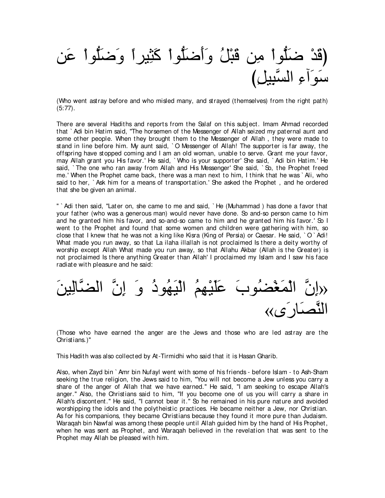

(Who went astray before and who misled many, and strayed (themselves) from the right path) (5:77).

There are several Hadiths and reports from the Salaf on this subj ect. Imam Ahmad recorded that ` Adi bin Hatim said, "The horsemen of the Messenger of Allah seized my paternal aunt and some other people. When they brought them to the Messenger of Allah , they were made to stand in line before him. My aunt said, ` O Messenger of Allah! The supporter is far away, the offspring have stopped coming and I am an old woman, unable to serve. Grant me your favor, may Allah grant you His favor.' He said, ` Who is your supporter' She said, ` Adi bin Hatim.' He said, `The one who ran away from Allah and His Messenger' She said, `So, the Prophet freed me.' When the Prophet came back, there was a man next to him, I think that he was ` Ali, who said to her, ` Ask him for a means of transportation.' She asked the Prophet , and he ordered that she be given an animal.

'' ` Adi then said, "Later on, she came to me and said, ` He (Muhammad ) has done a favor that your father (who was a generous man) would never have done. So and-so person came to him and he granted him his favor, and so-and-so came to him and he granted him his favor.' So I went to the Prophet and found that some women and children were gathering with him, so close that I knew that he was not a king like Kisra (King of Persia) or Caesar. He said, ` O ` Adi! What made you run away, so that La ilaha illallah is not proclaimed Is there a deity worthy of worship except Allah What made you run away, so that Allahu Akbar (Allah is the Greater) is not proclaimed Is there anything Greater than Allah' I proclaimed my Islam and I saw his face radiate with pleasure and he said:

∠リΒ⌒ャゅzツャや zラ⌒ま ∠ヱ ⊥キヲ⊥ヰ∠Β∇ャや ⊥ユ⌒ヰ∇Β∠ヤ∠ハ ∠ゆヲ⊥ツ∇ピ∠ヨ∇ャや zラ⌒ま» «ン∠ケゅ∠ダzレャや

(Those who have earned the anger are the Jews and those who are led astray are the Christians.)''

This Hadith was also collected by At-Tirmidhi who said that it is Hasan Gharib.

Also, when Zayd bin ` Amr bin Nufayl went with some of his friends - before Islam - to Ash-Sham seeking the true religion, the Jews said to him, "You will not become a Jew unless you carry a share of the anger of Allah that we have earned.'' He said, "I am seeking to escape Allah's anger.'' Also, the Christians said to him, "If you become one of us you will carry a share in Allah's discontent.'' He said, "I cannot bear it.'' So he remained in his pure nature and avoided worshipping the idols and the polytheistic practices. He became neither a Jew, nor Christian. As for his companions, they became Christians because they found it more pure than Judaism. Waraqah bin Nawfal was among these people until Allah guided him by the hand of His Prophet, when he was sent as Prophet, and Waraqah believed in the revelation that was sent to the Prophet may Allah be pleased with him.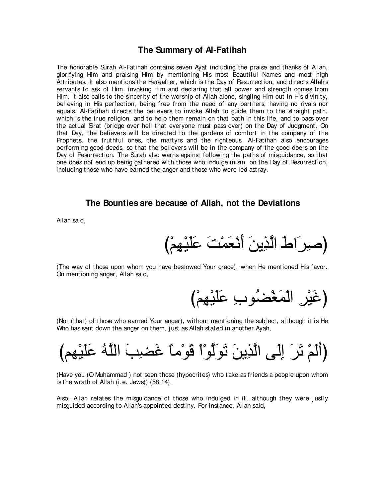## **The Summary of Al-Fatihah**

The honorable Surah Al-Fatihah contains seven Ayat including the praise and thanks of Allah, glorifying Him and praising Him by mentioning His most Beautiful Names and most high Attributes. It also mentions the Hereafter, which is the Day of Resurrection, and directs Allah's servants to ask of Him, invoking Him and declaring that all power and strength comes from Him. It also calls to the sincerity of the worship of Allah alone, singling Him out in His divinity, believing in His perfection, being free from the need of any partners, having no rivals nor equals. Al-Fatihah directs the believers to invoke Allah to guide them to the straight path, which is the true religion, and to help them remain on that path in this life, and to pass over the actual Sirat (bridge over hell that everyone must pass over) on the Day of Judgment. On that Day, the believers will be directed to the gardens of comfort in the company of the Prophets, the truthful ones, the martyrs and the righteous. Al-Fatihah also encourages performing good deeds, so that the believers will be in the company of the good-doers on the Day of Resurrection. The Surah also warns against following the paths of misguidance, so that one does not end up being gathered with those who indulge in sin, on the Day of Resurrection, including those who have earned the anger and those who were led astray.

### **The Bounties are because of Allah, not the Deviations**

Allah said,

び∇ユ⌒ヰ∇Β∠ヤ∠ハ ∠ろ∇ヨ∠バ∇ル∠ぺ ∠リΑ⌒グzャや ∠ヅや∠ゲ⌒タぴ

(The way of those upon whom you have bestowed Your grace), when He mentioned His favor. On mentioning anger, Allah said,



(Not (that) of those who earned Your anger), without mentioning the subj ect, although it is He Who has sent down the anger on them, just as Allah stated in another Ayah,



(Have you (O Muhammad ) not seen those (hypocrites) who take as friends a people upon whom is the wrath of Allah (i.e. Jews)) (58:14).

Also, Allah relates the misquidance of those who indulged in it, although they were justly misguided according to Allah's appointed destiny. For instance, Allah said,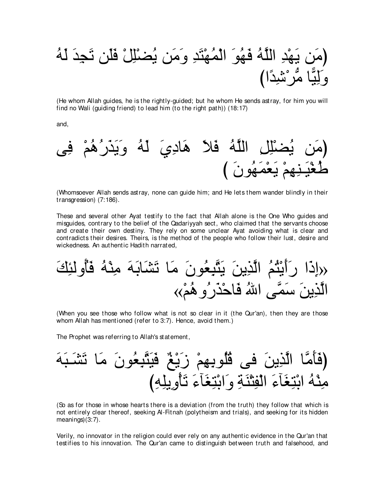

(He whom Allah guides, he is the rightly-guided; but he whom He sends astray, for him you will find no Wali (quiding friend) to lead him (to the right path)) (18:17)

and,



(Whomsoever Allah sends astray, none can guide him; and He lets them wander blindly in their transgression) (7:186).

These and several other Ayat testify to the fact that Allah alone is the One Who guides and misquides, contrary to the belief of the Qadariyyah sect, who claimed that the servants choose and create their own destiny. They rely on some unclear Ayat avoiding what is clear and contradicts their desires. Theirs, is the method of the people who follow their lust, desire and wickedness. An authentic Hadith narrated,

(When you see those who follow what is not so clear in it (the Qur'an), then they are those whom Allah has mentioned (refer to 3:7). Hence, avoid them.)

The Prophet was referring to Allah's statement,



(So as for those in whose hearts there is a deviation (from the truth) they follow that which is not entirely clear thereof, seeking A-Fitnah (polytheism and trials), and seeking for its hidden  $meanings(3:7)$ .

Verily, no innovator in the religion could ever rely on any authentic evidence in the Qur'an that testifies to his innovation. The Qur'an came to distinguish between truth and falsehood, and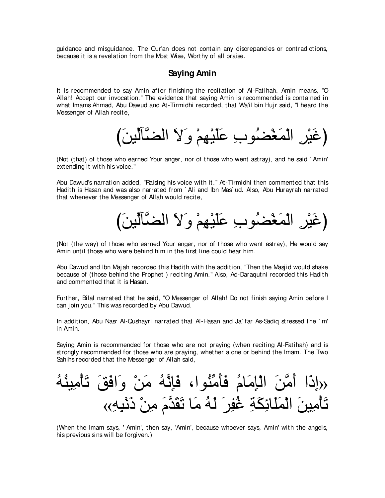guidance and misguidance. The Qur'an does not contain any discrepancies or contradictions, because it is a revelation from the Most Wise, Worthy of all praise.

# **Saying Amin**

It is recommended to say Amin after finishing the recitation of Al-Fatihah. Amin means, "O Allah! Accept our invocation.'' The evidence that saying Amin is recommended is contained in what Imams Ahmad, Abu Dawud and At-Tirmidhi recorded, that Wa'il bin Hujr said, "I heard the Messenger of Allah recite,

び∠リΒあャべzツャや ∠Ι∠ヱ ∇ユ⌒ヰ∇Β∠ヤ∠ハ ⌒ゆヲ⊥ツ∇ピ∠ヨ∇ャや ⌒ゲ∇Β∠ビぴ

(Not (that) of those who earned Your anger, nor of those who went astray), and he said ` Amin' extending it with his voice.''

Abu Dawud's narration added, "Raising his voice with it.'' At-Tirmidhi then commented that this Hadith is Hasan and was also narrated from ` Ali and Ibn Mas` ud. Also, Abu Hurayrah narrated that whenever the Messenger of Allah would recite,



(Not (the way) of those who earned Your anger, nor of those who went astray), He would say Amin until those who were behind him in the first line could hear him.

Abu Dawud and Ibn Maj ah recorded this Hadith with the addition, "Then the Masj id would shake because of (those behind the Prophet ) reciting Amin.'' Also, Ad-Daraqutni recorded this Hadith and commented that it is Hasan.

Further, Bilal narrated that he said, "O Messenger of Allah! Do not finish saying Amin before I can join you." This was recorded by Abu Dawud.

In addition, Abu Nasr Al-Qushayri narrated that Al-Hasan and Ja` far As-Sadiq stressed the ` m' in Amin.

Saying Amin is recommended for those who are not praying (when reciting Al-Fatihah) and is strongly recommended for those who are praying, whether alone or behind the Imam. The Two Sahihs recorded that the Messenger of Allah said,

(راِذَا أُمَّنَ الَّاِمَاءُ فَأَمِّئُواء فَاِتَّهُ مَنٌ وَافَقَ تَأُمِيِئُهُ
$$
|X|
$$
فَهَ

(When the Imam says, ' Amin', then say, 'Amin', because whoever says, Amin' with the angels, his previous sins will be forgiven.)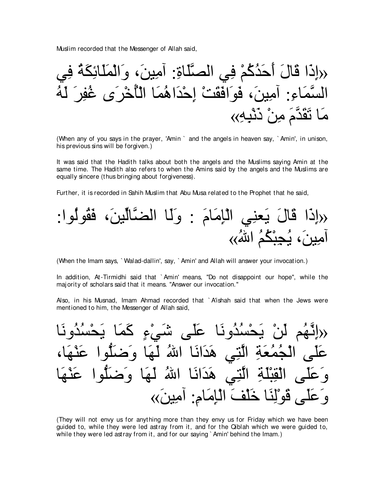Muslim recorded that the Messenger of Allah said,



(When any of you says in the prayer, 'Amin ` and the angels in heaven say, ` Amin', in unison, his previous sins will be forgiven.)

It was said that the Hadith talks about both the angels and the Muslims saying Amin at the same time. The Hadith also refers to when the Amins said by the angels and the Muslims are equally sincere (thus bringing about forgiveness).

Further, it is recorded in Sahih Muslim that Abu Musa related to the Prophet that he said,



(When the Imam says, ` Walad-dallin', say, ` Amin' and Allah will answer your invocation.)

In addition, At-Tirmidhi said that ` Amin' means, "Do not disappoint our hope'', while the majority of scholars said that it means. "Answer our invocation.''

Also, in his Musnad, Imam Ahmad recorded that ` A'ishah said that when the Jews were mentioned to him, the Messenger of Allah said,



(They will not envy us for anything more than they envy us for Friday which we have been guided to, while they were led astray from it, and for the Qiblah which we were guided to, while they were led astray from it, and for our saying `Amin' behind the Imam.)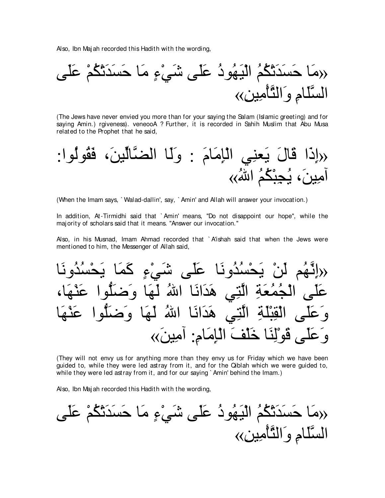Also, Ibn Maj ah recorded this Hadith with the wording,



(The Jews have never envied you more than for your saying the Salam (Islamic greeting) and for saying Amin.) rgiveness). veneooA ? Further, it is recorded in Sahih Muslim that Abu Musa related to the Prophet that he said,

 :やヲ⊥ャヲ⊥ボ∠プ ∩∠リΒあャゅzツャや ゅ∠ャ∠ヱ : ∠ュゅ∠ョ⌒み∇ャや ヶ⌒レバ∠Α ∠メゅ∠ホ や∠ク⌒ま» «⊥ぶや ⊥ユ⊥ム∇ら⌒イ⊥Α ∩∠リΒ⌒ョへ

(When the Imam says, ` Walad-dallin', say, ` Amin' and Allah will answer your invocation.)

In addition, At-Tirmidhi said that ` Amin' means, "Do not disappoint our hope'', while the majority of scholars said that it means. "Answer our invocation.''

Also, in his Musnad, Imam Ahmad recorded that ` A'ishah said that when the Jews were mentioned to him, the Messenger of Allah said,

ゅ∠ルヱ⊥ギ⊥ジ∇エ∠Α ゅ∠ヨ∠ミ ∃¬∇ヶ∠セ ヴ∠ヤ∠ハ ゅ∠ルヱ⊥ギ⊥ジ∇エ∠Α ∇リ∠ャ ユ⊥ヰzル⌒ま» ∩ゅ∠ヰ∇レ∠ハ やヲぁヤ∠ッ∠ヱ ゅ∠ヰ∠ャ ⊥ぶや ゅ∠ルや∠ギ∠ワ ヶ⌒わzャや ⌒る∠バ⊥ヨ⊥イ∇ャや ヴ∠ヤ∠ハ ゅ∠ヰ∇レ∠ハ やヲぁヤ∠ッ∠ヱ ゅ∠ヰ∠ャ ⊥ぶや ゅ∠ルや∠ギ∠ワ ヶ⌒わzャや ⌒る∠ヤ∇ら⌒ボ∇ャや ヴ∠ヤ∠ハ∠ヱ «∠リΒ⌒ョへ :⌒ュゅ∠ョ⌒み∇ャや ∠ブ∇ヤ∠カ ゅ∠レ⌒ャ∇ヲ∠ホ ヴ∠ヤ∠ハ∠ヱ

(They will not envy us for anything more than they envy us for Friday which we have been guided to, while they were led astray from it, and for the Qiblah which we were guided to, while they were led astray from it, and for our saying `Amin' behind the Imam.)

Also, Ibn Maj ah recorded this Hadith with the wording,

ヴ∠ヤ∠ハ ∇ユ⊥ム∇ゎ∠ギ∠ジ∠ェ ゅ∠ョ ∃¬∇ヶ∠セ ヴ∠ヤ∠ハ ⊥キヲ⊥ヰ∠Β∇ャや ⊥ユ⊥ム∇ゎ∠ギ∠ジ∠ェ ゅ∠ョ» «⌒リΒ⌒ョ∇ほzわャや∠ヱ ⌒ュゅ∠ヤzジャや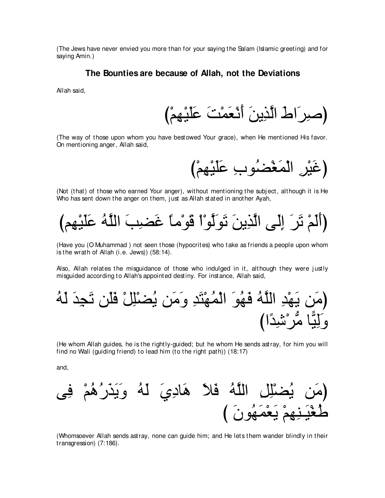(The Jews have never envied you more than for your saying the Salam (Islamic greeting) and for saying Amin.)

#### **The Bounties are because of Allah, not the Deviations**

Allah said,



(The way of those upon whom you have bestowed Your grace), when He mentioned His favor. On mentioning anger, Allah said,

(غَيْر الْمَغْضُوبِ عَلَيْهِمْ)

(Not (that) of those who earned Your anger), without mentioning the subject, although it is He Who has sent down the anger on them, just as Allah stated in another Ayah,



(Have you (O Muhammad ) not seen those (hypocrites) who take as friends a people upon whom is the wrath of Allah (i.e. Jews)) (58:14).

Also, Allah relates the misquidance of those who indulged in it, although they were justly misguided according to Allah's appointed destiny. For instance, Allah said,



(He whom Allah guides, he is the rightly-guided; but he whom He sends astray, for him you will find no Wali (guiding friend) to lead him (to the right path)) (18:17)

and,

ヴ⌒プ ∇ユ⊥ワ⊥ケ∠グ∠Α∠ヱ ⊥ヮ∠ャ ∠ヵ⌒キゅ∠ワ ∠Κ∠プ ⊥ヮzヤャや ⌒モ⌒ヤ∇ツ⊥Α リ∠ョぴ び ∠ラヲ⊥ヰ∠ヨ∇バ∠Α ∇ユ⌒ヰ⌒レ⇒∠Β∇ピ⊥デ

(Whomsoever Allah sends astray, none can guide him; and He lets them wander blindly in their transgression) (7:186).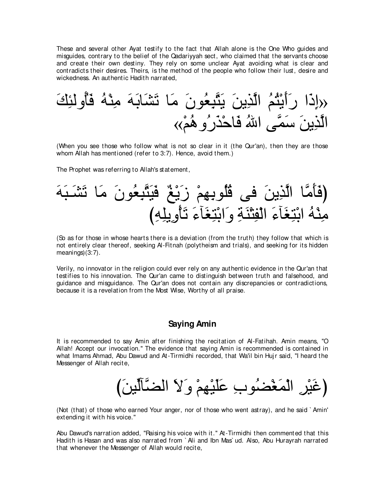These and several other Ayat testify to the fact that Allah alone is the One Who guides and misguides, contrary to the belief of the Qadariyyah sect, who claimed that the servants choose and create their own destiny. They rely on some unclear Ayat avoiding what is clear and contradicts their desires. Theirs, is the method of the people who follow their lust, desire and wickedness. An authentic Hadith narrated,

∠マ⌒ゃャヱ⊥ほ∠プ ⊥ヮ∇レ⌒ョ ∠ヮ∠よゅ∠ゼ∠ゎ ゅ∠ョ ∠ラヲ⊥バ⌒らzわ∠Α ∠リΑ⌒グzャや ⊥ユ⊥わ∇Α∠ぺ∠ケ や∠ク⌒ま» «∇ユ⊥ワヱ⊥ケ∠グ∇ェゅ∠プ ⊥ぶや ヴzヨ∠シ ∠リΑ⌒グzャや

(When you see those who follow what is not so clear in it (the Qur'an), then they are those whom Allah has mentioned (refer to 3:7). Hence, avoid them.)

The Prophet was referring to Allah's statement,



(So as for those in whose hearts there is a deviation (from the truth) they follow that which is not entirely clear thereof, seeking Al-Fitnah (polytheism and trials), and seeking for its hidden meanings)(3:7).

Verily, no innovator in the religion could ever rely on any authentic evidence in the Qur'an that testifies to his innovation. The Qur'an came to distinguish between truth and falsehood, and guidance and misguidance. The Qur'an does not contain any discrepancies or contradictions, because it is a revelation from the Most Wise, Worthy of all praise.

# **Saying Amin**

It is recommended to say Amin after finishing the recitation of Al-Fatihah. Amin means, "O Allah! Accept our invocation.'' The evidence that saying Amin is recommended is contained in what Imams Ahmad, Abu Dawud and At-Tirmidhi recorded, that Wa'il bin Hujr said, "I heard the Messenger of Allah recite,

び∠リΒあャべzツャや ∠Ι∠ヱ ∇ユ⌒ヰ∇Β∠ヤ∠ハ ⌒ゆヲ⊥ツ∇ピ∠ヨ∇ャや ⌒ゲ∇Β∠ビぴ

(Not (that) of those who earned Your anger, nor of those who went astray), and he said ` Amin' extending it with his voice.''

Abu Dawud's narration added, "Raising his voice with it.'' At-Tirmidhi then commented that this Hadith is Hasan and was also narrated from ` Ali and Ibn Mas` ud. Also, Abu Hurayrah narrated that whenever the Messenger of Allah would recite,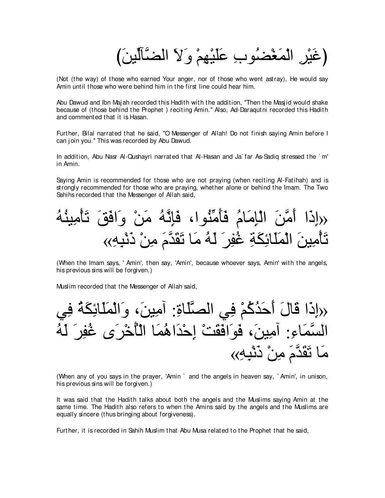(غَيْرِ الْمَغْضُوبِ عَلَيْهِمْ وَلاَ الضَّأَلَّينَ)

(Not (the way) of those who earned Your anger, nor of those who went astray), He would say Amin until those who were behind him in the first line could hear him.

Abu Dawud and Ibn Maj ah recorded this Hadith with the addition, "Then the Masj id would shake because of (those behind the Prophet ) reciting Amin.'' Also, Ad-Daraqutni recorded this Hadith and commented that it is Hasan.

Further, Bilal narrated that he said, "O Messenger of Allah! Do not finish saying Amin before I can join you." This was recorded by Abu Dawud.

In addition, Abu Nasr Al-Qushayri narrated that Al-Hasan and Ja` far As-Sadiq stressed the ` m' in Amin.

Saying Amin is recommended for those who are not praying (when reciting Al-Fatihah) and is strongly recommended for those who are praying, whether alone or behind the Imam. The Two Sahihs recorded that the Messenger of Allah said,

⊥ヮ⊥レΒ⌒ョ∇ほ∠ゎ ∠ペ∠プや∠ヱ ∇リ∠ョ ⊥ヮzル⌒み∠プ ∩やヲ⊥レあョ∠ほ∠プ ⊥ュゅ∠ョ⌒み∇ャや ∠リzョ∠ぺ や∠ク⌒ま» «⌒ヮ⌒ら∇ル∠ク ∇リ⌒ョ ∠ュzギ∠ボ∠ゎ ゅ∠ョ ⊥ヮ∠ャ ∠ゲ⌒ヘ⊥ビ ⌒る∠ム⌒もゅ∠ヤ∠ヨ∇ャや ∠リΒ⌒ョ∇ほ∠ゎ

(When the Imam says, ' Amin', then say, 'Amin', because whoever says, Amin' with the angels, his previous sins will be forgiven.)

Muslim recorded that the Messenger of Allah said,

ヶ⌒プ ⊥る∠ム⌒もゅ∠ヤ∠ヨ∇ャや∠ヱ ∩∠リΒ⌒ョへ :⌒りゅ∠ヤzダャや ヶ⌒プ ∇ユ⊥ミ⊥ギ∠ェ∠ぺ ∠メゅ∠ホ や∠ク⌒ま» ⊥ヮ∠ャ ∠ゲ⌒ヘ⊥ビ ン∠ゲ∇カ⊥ほ∇ャや ゅ∠ヨ⊥ワや∠ギ∇ェ⌒ま ∇ろ∠ボ∠プや∠ヲ∠プ ∩∠リΒ⌒ョへ :⌒¬ゅ∠ヨzジャや «⌒ヮ⌒ら∇ル∠ク ∇リ⌒ョ ∠ュzギ∠ボ∠ゎ ゅ∠ョ

(When any of you says in the prayer, 'Amin ` and the angels in heaven say, ` Amin', in unison, his previous sins will be forgiven.)

It was said that the Hadith talks about both the angels and the Muslims saying Amin at the same time. The Hadith also refers to when the Amins said by the angels and the Muslims are equally sincere (thus bringing about forgiveness).

Further, it is recorded in Sahih Muslim that Abu Musa related to the Prophet that he said,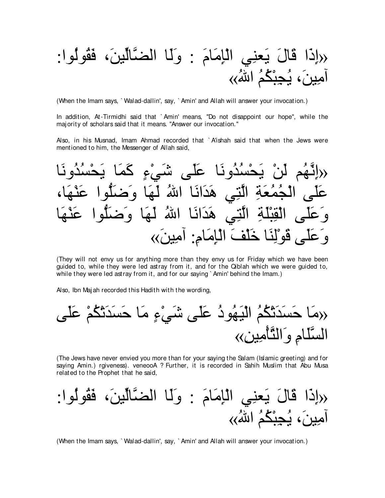:やヲ⊥ャヲ⊥ボ∠プ ∩∠リΒあャゅzツャや ゅ∠ャ∠ヱ : ∠ュゅ∠ョ⌒み∇ャや ヶ⌒レバ∠Α ∠メゅ∠ホ や∠ク⌒ま» «⊥ぶや ⊥ユ⊥ム∇ら⌒イ⊥Α ∩∠リΒ⌒ョへ

(When the Imam says, ` Walad-dallin', say, ` Amin' and Allah will answer your invocation.)

In addition, At-Tirmidhi said that ` Amin' means, "Do not disappoint our hope'', while the majority of scholars said that it means. "Answer our invocation.''

Also, in his Musnad, Imam Ahmad recorded that ` A'ishah said that when the Jews were mentioned to him, the Messenger of Allah said,

ゅ∠ルヱ⊥ギ⊥ジ∇エ∠Α ゅ∠ヨ∠ミ ∃¬∇ヶ∠セ ヴ∠ヤ∠ハ ゅ∠ルヱ⊥ギ⊥ジ∇エ∠Α ∇リ∠ャ ユ⊥ヰzル⌒ま» ∩ゅ∠ヰ∇レ∠ハ やヲぁヤ∠ッ∠ヱ ゅ∠ヰ∠ャ ⊥ぶや ゅ∠ルや∠ギ∠ワ ヶ⌒わzャや ⌒る∠バ⊥ヨ⊥イ∇ャや ヴ∠ヤ∠ハ ゅ∠ヰ∇レ∠ハ やヲぁヤ∠ッ∠ヱ ゅ∠ヰ∠ャ ⊥ぶや ゅ∠ルや∠ギ∠ワ ヶ⌒わzャや ⌒る∠ヤ∇ら⌒ボ∇ャや ヴ∠ヤ∠ハ∠ヱ «∠リΒ⌒ョへ :⌒ュゅ∠ョ⌒み∇ャや ∠ブ∇ヤ∠カ ゅ∠レ⌒ャ∇ヲ∠ホ ヴ∠ヤ∠ハ∠ヱ

(They will not envy us for anything more than they envy us for Friday which we have been guided to, while they were led astray from it, and for the Qiblah which we were guided to, while they were led astray from it, and for our saying `Amin' behind the Imam.)

Also, Ibn Maj ah recorded this Hadith with the wording,

ヴ∠ヤ∠ハ ∇ユ⊥ム∇ゎ∠ギ∠ジ∠ェ ゅ∠ョ ∃¬∇ヶ∠セ ヴ∠ヤ∠ハ ⊥キヲ⊥ヰ∠Β∇ャや ⊥ユ⊥ム∇ゎ∠ギ∠ジ∠ェ ゅ∠ョ» «⌒リΒ⌒ョ∇ほzわャや∠ヱ ⌒ュゅ∠ヤzジャや

(The Jews have never envied you more than for your saying the Salam (Islamic greeting) and for saying Amin.) rgiveness). veneooA ? Further, it is recorded in Sahih Muslim that Abu Musa related to the Prophet that he said,

 :やヲ⊥ャヲ⊥ボ∠プ ∩∠リΒあャゅzツャや ゅ∠ャ∠ヱ : ∠ュゅ∠ョ⌒み∇ャや ヶ⌒レバ∠Α ∠メゅ∠ホ や∠ク⌒ま» «⊥ぶや ⊥ユ⊥ム∇ら⌒イ⊥Α ∩∠リΒ⌒ョへ

(When the Imam says, ` Walad-dallin', say, ` Amin' and Allah will answer your invocation.)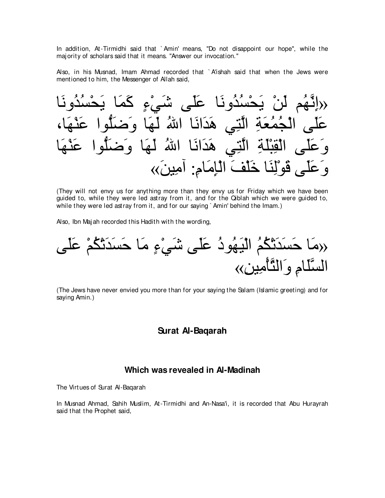In addition, At-Tirmidhi said that ` Amin' means, "Do not disappoint our hope'', while the majority of scholars said that it means. "Answer our invocation.''

Also, in his Musnad, Imam Ahmad recorded that ` A'ishah said that when the Jews were mentioned to him, the Messenger of Allah said,



(They will not envy us for anything more than they envy us for Friday which we have been guided to, while they were led astray from it, and for the Qiblah which we were guided to, while they were led astray from it, and for our saying `Amin' behind the Imam.)

Also, Ibn Maj ah recorded this Hadith with the wording,



(The Jews have never envied you more than for your saying the Salam (Islamic greeting) and for saying Amin.)

### **Surat Al-Baqarah**

### **Which was revealed in Al-Madinah**

The Virtues of Surat Al-Baqarah

In Musnad Ahmad, Sahih Muslim, At-Tirmidhi and An-Nasa'i, it is recorded that Abu Hurayrah said that the Prophet said,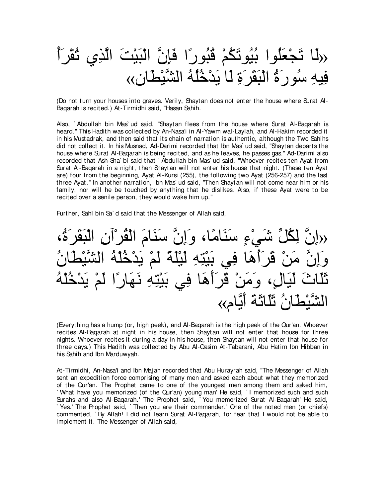⊥ぺ∠ゲ∇ボ⊥ゎ ヵ⌒グzャや ∠ろ∇Β∠ら∇ャや zラ⌒み∠プ や⇔ケヲ⊥ら⊥ホ ∇ユ⊥ム∠ゎヲ⊥Β⊥よ やヲ⊥ヤ∠バ∇イ∠ゎ ゅ∠ャ» «ラゅ∠ト∇Βzゼャや ⊥ヮ⊥ヤ⊥カ∇ギ∠Α ゅ∠ャ ⌒り∠ゲ∠ボ∠ら∇ャや ⊥り∠ケヲ⊥シ ⌒ヮΒ⌒プ

(Do not turn your houses into graves. Verily, Shaytan does not enter the house where Surat Al-Baqarah is recited.) At-Tirmidhi said, "Hasan Sahih.

Also, ` Abdullah bin Mas` ud said, "Shaytan flees from the house where Surat Al-Baqarah is heard.'' This Hadith was collected by An-Nasa'i in Al-Yawm wal-Laylah, and Al-Hakim recorded it in his Mustadrak, and then said that its chain of narration is authentic, although the Two Sahihs did not collect it. In his Musnad, Ad-Darimi recorded that Ibn Mas` ud said, "Shaytan departs the house where Surat Al-Baqarah is being recited, and as he leaves, he passes gas.'' Ad-Darimi also recorded that Ash-Sha` bi said that ` Abdullah bin Mas` ud said, "Whoever recites ten Ayat from Surat Al-Baqarah in a night, then Shaytan will not enter his house that night. (These ten Ayat are) four from the beginning, Ayat Al-Kursi (255), the following two Ayat (256-257) and the last three Ayat.'' In another narration, Ibn Mas` ud said, "Then Shaytan will not come near him or his family, nor will he be touched by anything that he dislikes. Also, if these Ayat were to be recited over a senile person, they would wake him up.''

Further, Sahl bin Sa` d said that the Messenger of Allah said,

∩⊥り∠ゲ∠ボ∠ら∇ャや ⌒ラへ∇ゲ⊥ボ∇ャや ∠ュゅ∠レ∠シ zラ⌒ま∠ヱ ∩ゅ⇔ョゅ∠レ∠シ ∃¬∇ヶ∠セ あモ⊥ム⌒ャ zラ⌒ま» ⊥ラゅ∠ト∇Βzゼャや ⊥ヮ∇ヤ⊥カ∇ギ∠Α ∇ユ∠ャ ⇔る∠ヤ∇Β∠ャ ⌒ヮ⌒わ∇Β∠よ ヶ⌒プ ゅ∠ワ∠ぺ∠ゲ∠ホ ∇リ∠ョ zラ⌒ま∠ヱ ⊥ヮ∇ヤ⊥カ∇ギ∠Α ∇ユ∠ャ や⇔ケゅ∠ヰ∠ル ⌒ヮ⌒わ∇Β∠よ ヶ⌒プ ゅ∠ワ∠ぺ∠ゲ∠ホ ∇リ∠ョ∠ヱ ∩∃メゅ∠Β∠ャ ∠ゐゅ∠ヤ∠を «ュゅzΑ∠ぺ ∠る∠をゅ∠ヤ∠を ⊥ラゅ∠ト∇Βzゼャや

(Everything has a hump (or, high peek), and Al-Baqarah is the high peek of the Qur'an. Whoever recites Al-Baqarah at night in his house, then Shaytan will not enter that house for three nights. Whoever recites it during a day in his house, then Shaytan will not enter that house for three days.) This Hadith was collected by Abu Al-Qasim At-Tabarani, Abu Hatim Ibn Hibban in his Sahih and Ibn Marduwyah.

At-Tirmidhi, An-Nasa'i and Ibn Maj ah recorded that Abu Hurayrah said, "The Messenger of Allah sent an expedition force comprising of many men and asked each about what they memorized of the Qur'an. The Prophet came to one of the youngest men among them and asked him, ` What have you memorized (of the Qur'an) young man' He said, ` I memorized such and such Surahs and also Al-Baqarah.' The Prophet said, ` You memorized Surat Al-Baqarah' He said, ` Yes.' The Prophet said, ` Then you are their commander.' One of the noted men (or chiefs) commented, ` By Allah! I did not learn Surat Al-Baqarah, for fear that I would not be able to implement it. The Messenger of Allah said,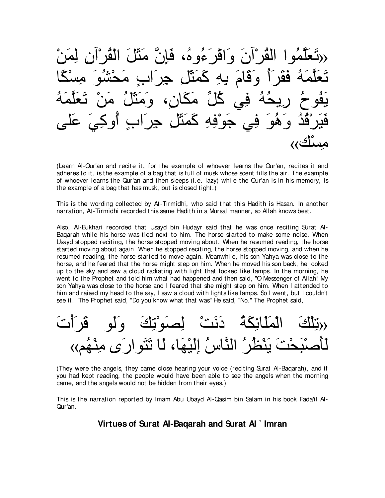الْقُرِ ْآنَ وَ اقْرِ عُوهُ، فَإِنَّ مَثَلَ الْقُرِ ْآنِ فَقَرآ وَقَامَ بِهِ كَمَثَلِ جِرِ َابِ مَحْشُوَ گلٍّ مَگانِ، وَمَثا جَو ْفِهِ كَمَثَّل جر مرساكى)

(Learn Al-Qur'an and recite it, for the example of whoever learns the Qur'an, recites it and adheres to it, is the example of a bag that is full of musk whose scent fills the air. The example of whoever learns the Qur'an and then sleeps (i.e. lazy) while the Qur'an is in his memory, is the example of a bag that has musk, but is closed tight.)

This is the wording collected by At-Tirmidhi, who said that this Hadith is Hasan. In another narration, At-Tirmidhi recorded this same Hadith in a Mursal manner, so Allah knows best.

Also, Al-Bukhari recorded that Usayd bin Hudayr said that he was once reciting Surat Al-Baqarah while his horse was tied next to him. The horse started to make some noise. When Usayd stopped reciting, the horse stopped moving about. When he resumed reading, the horse started moving about again. When he stopped reciting, the horse stopped moving, and when he resumed reading, the horse started to move again. Meanwhile, his son Yahya was close to the horse, and he feared that the horse might step on him. When he moved his son back, he looked up to the sky and saw a cloud radiating with light that looked like lamps. In the morning, he went to the Prophet and told him what had happened and then said, "O Messenger of Allah! My son Yahya was close to the horse and I feared that she might step on him. When I attended to him and raised my head to the sky, I saw a cloud with lights like lamps. So I went, but I couldn't see it.'' The Prophet said, "Do you know what that was'' He said, "No.'' The Prophet said,



(They were the angels, they came close hearing your voice (reciting Surat Al-Baqarah), and if you had kept reading, the people would have been able to see the angels when the morning came, and the angels would not be hidden from their eyes.)

This is the narration reported by Imam Abu Ubayd Al-Qasim bin Salam in his book Fada'il Al-Qur'an.

# **Virtues of Surat Al-Baqarah and Surat Al ` Imran**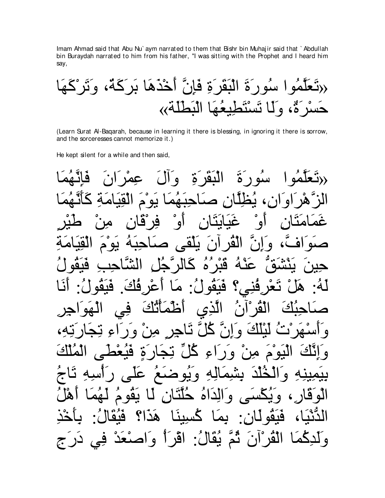Imam Ahmad said that Abu Nu' aym narrated to them that Bishr bin Muhajir said that 'Abdullah bin Buraydah narrated to him from his father, "I was sitting with the Prophet and I heard him say,

(Learn Surat Al-Baqarah, because in learning it there is blessing, in ignoring it there is sorrow, and the sorceresses cannot memorize it.)

He kept silent for a while and then said,

 $rac{1}{2}$  $\ddot{\hat{\delta}}$ لْبَقَرْ فَالْ ااتعلمُه سه ۱ صاحبه نظللان 4  $\epsilon$  $\ddot{\mathbf{L}}$  $\bullet$  $\bullet$ <u>ا مر</u>  $\boldsymbol{\mathsf{d}}$ <u>اه</u>  $\overline{\mathbf{c}}$  $\mathbf{I}$  $\blacktriangle$ <u>و</u> وه ۶۶<br>قبر ه كَالُه تَّكَأ عنّهُ فيقم  $\alpha$ **آ**ک فيقه ا عد فدقه  $\bullet$  $\sqrt{ }$  $\Delta$ اظُهُ ''اک *آ* الدى ۵ َ، ثَاجِر مِنَ ور  $\overline{K}$ <u>ای</u> و  $\mathcal{C}$  $\epsilon$ المكلك  $\mathbf{Z}$  $\ddot{\delta}$ فنعد  $\sim$   $\tilde{ }$ ا ءِ  $\bullet$ و بو ضبعُ  $\mathbf C$  $\Delta$  $\boldsymbol{\lambda}$ داهُ حَلْتَان ىقو  $\zeta$ <u>ഉ</u>  $\bullet$  $\bullet$ يما كسينًا هذا؟ فيقو  $919$ ْ إِنَ ثُمَّ يُقَالُ: اقْرَأُ وَاصنْعَدْ فِي و لدگم <u>افر</u>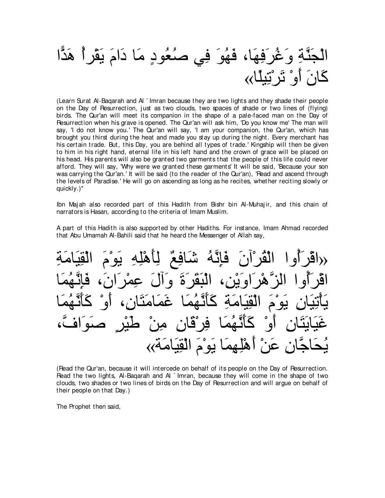

(Learn Surat Al-Baqarah and Al ` Imran because they are two lights and they shade their people on the Day of Resurrection, just as two clouds, two spaces of shade or two lines of (flying) birds. The Qur'an will meet its companion in the shape of a pale-faced man on the Day of Resurrection when his grave is opened. The Qur'an will ask him, 'Do you know me' The man will say, 'I do not know you.' The Qur'an will say, 'I am your companion, the Qur'an, which has brought you thirst during the heat and made you stay up during the night. Every merchant has his certain trade. But, this Day, you are behind all types of trade.' Kingship will then be given to him in his right hand, eternal life in his left hand and the crown of grace will be placed on his head. His parents will also be granted two garments that the people of this life could never afford. They will say, 'Why were we granted these garments' It will be said, 'Because your son was carrying the Qur'an.' It will be said (to the reader of the Qur'an), 'Read and ascend through the levels of Paradise.' He will go on ascending as long as he recites, whether reciting slowly or quickly.)''

Ibn Majah also recorded part of this Hadith from Bishr bin Al-Muhajir, and this chain of narrators is Hasan, according to the criteria of Imam Muslim.

A part of this Hadith is also supported by other Hadiths. For instance, Imam Ahmad recorded that Abu Umamah Al-Bahili said that he heard the Messenger of Allah say,



(Read the Qur'an, because it will intercede on behalf of its people on the Day of Resurrection. Read the two lights, Al-Baqarah and Al `Imran, because they will come in the shape of two clouds, two shades or two lines of birds on the Day of Resurrection and will argue on behalf of their people on that Day.)

The Prophet then said,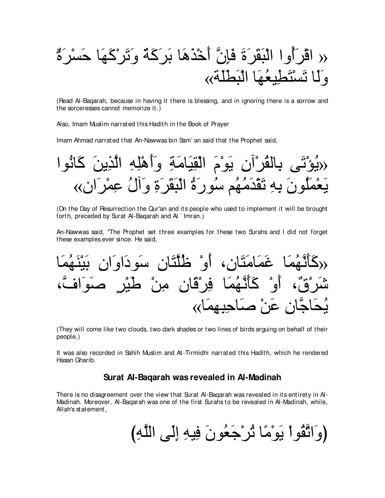رِ اَقُرَ أُوا الَبَقُرَةَ فَانَّ أَحُدَهَا بَرَكَةٌ وَتَرُكَهَا حَسْرَةُ
$$
\sum_{n=1}^{\infty} a_n
$$
وَلَّا تَسُتَطِيعُهَا الَبَطَلَةٌ»

(Read Al-Baqarah, because in having it there is blessing, and in ignoring there is a sorrow and the sorceresses cannot memorize it.)

Also, Imam Muslim narrated this Hadith in the Book of Prayer

Imam Ahmad narrated that An-Nawwas bin Sam` an said that the Prophet said,

やヲ⊥ルゅ∠ミ ∠リΑ⌒グzャや ⌒ヮ⌒ヤ∇ワ∠ぺ∠ヱ ⌒る∠ョゅ∠Β⌒ボ∇ャや ∠ュ∇ヲ∠Α ⌒ラへ∇ゲ⊥ボャゅ⌒よ ヴ∠ゎ∇ぽ⊥Α» «ラや∠ゲ∇ヨ⌒ハ ⊥メへ∠ヱ ⌒り∠ゲ∠ボ∠ら∇ャや ⊥り∠ケヲ⊥シ ユ⊥ヰ⊥ョ∠ギ∇ボ∠ゎ ⌒ヮ⌒よ ∠ラヲ⊥ヤ∠ヨ∇バ∠Α

(On the Day of Resurrection the Qur'an and its people who used to implement it will be brought forth, preceded by Surat Al-Baqarah and Al ` Imran.)

An-Nawwas said, "The Prophet set three examples for these two Surahs and I did not forget these examples ever since. He said,

ゅ∠ヨ⊥ヰ∠レ∇Β∠よ ⌒ラや∠ヱや∠キヲ∠シ ⌒ラゅ∠わzヤ⊥ニ ∇ヱ∠ぺ ∩⌒ラゅ∠わ∠ョゅ∠ヨ∠ビ ゅ∠ヨ⊥ヰzル∠ほ∠ミ» ∩zフや∠ヲ∠タ ∃ゲ∇Β∠デ ∇リ⌒ョ ⌒ラゅ∠ホ∇ゲ⌒プ ゅ∠ヨ⊥ヰzル∠ほ∠ミ ∇ヱ∠ぺ ∩∀ベ∇ゲ∠セ «ゅ∠ヨ⌒ヰ⌒ら⌒ェゅ∠タ ∇リ∠ハ ⌒ラゅzィゅ∠エ⊥Α

(They will come like two clouds, two dark shades or two lines of birds arguing on behalf of their people.)

It was also recorded in Sahih Muslim and At-Tirmidhi narrated this Hadith, which he rendered Hasan Gharib.

## **Surat Al-Baqarah was revealed in Al-Madinah**

There is no disagreement over the view that Surat Al-Baqarah was revealed in its entirety in Al-Madinah. Moreover, Al-Baqarah was one of the first Surahs to be revealed in Al-Madinah, while, Allah's statement,

(وَاتَّقُواْ يَوْمًا ثُرْجَعُونَ فِيهِ إِلَى اللَّهِ)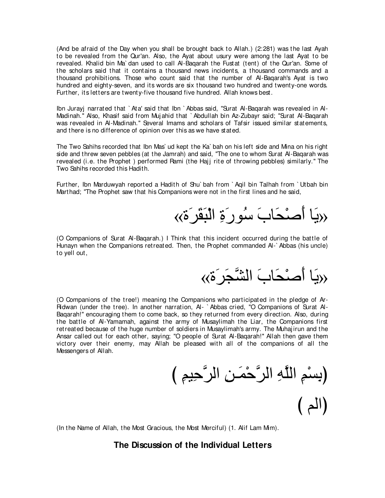(And be afraid of the Day when you shall be brought back to Allah.) (2:281) was the last Ayah to be revealed from the Qur'an. Also, the Ayat about usury were among the last Ayat to be revealed. Khalid bin Ma` dan used to call Al-Baqarah the Fustat (tent) of the Qur'an. Some of the scholars said that it contains a thousand news incidents, a thousand commands and a thousand prohibitions. Those who count said that the number of Al-Baqarah's Ayat is two hundred and eighty-seven, and its words are six thousand two hundred and twenty-one words. Further, its letters are twenty-five thousand five hundred. Allah knows best.

Ibn Jurayj narrated that ` Ata' said that Ibn ` Abbas said, "Surat Al-Baqarah was revealed in Al-Madinah.'' Also, Khasif said from Muj ahid that ` Abdullah bin Az-Zubayr said; "Surat Al-Baqarah was revealed in Al-Madinah.'' Several Imams and scholars of Tafsir issued similar statements, and there is no difference of opinion over this as we have stated.

The Two Sahihs recorded that Ibn Mas` ud kept the Ka` bah on his left side and Mina on his right side and threw seven pebbles (at the Jamrah) and said, "The one to whom Surat Al-Baqarah was revealed (i.e. the Prophet) performed Rami (the Haji rite of throwing pebbles) similarly." The Two Sahihs recorded this Hadith.

Further, Ibn Marduwyah reported a Hadith of Shu` bah from ` Aqil bin Talhah from ` Utbah bin Marthad; "The Prophet saw that his Companions were not in the first lines and he said,

«بِيَا أَصِنْحَابَ سُو رِعَ الْبَقَرِ ّةِ»

(O Companions of Surat Al-Baqarah.) I Think that this incident occurred during the battle of Hunayn when the Companions retreated. Then, the Prophet commanded Al-` Abbas (his uncle) to yell out,

«بِيَا أَصِنْحَابَ الشَّجِّرِ َة<sub>∢</sub>

(O Companions of the tree!) meaning the Companions who participated in the pledge of Ar-Ridwan (under the tree). In another narration, Al- ` Abbas cried, "O Companions of Surat Al-Baqarah!'' encouraging them to come back, so they returned from every direction. Also, during the battle of Al-Yamamah, against the army of Musaylimah the Liar, the Companions first retreated because of the huge number of soldiers in Musaylimah's army. The Muhaj irun and the Ansar called out for each other, saying; "O people of Surat Al-Baqarah!'' Allah then gave them victory over their enemy, may Allah be pleased with all of the companions of all the Messengers of Allah.

> (بِسْمِ اللَّهِ الرَّحْمَـنِ الرَّحِيمِ ) (الم )

(In the Name of Allah, the Most Gracious, the Most Merciful) (1. Alif Lam Mim).

**The Discussion of the Individual Letters**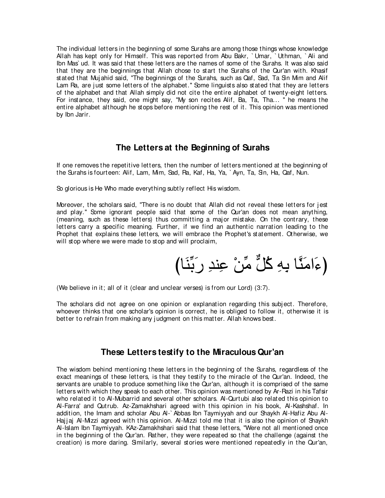The individual letters in the beginning of some Surahs are among those things whose knowledge Allah has kept only for Himself. This was reported from Abu Bakr, ` Umar, ` Uthman, ` Ali and Ibn Mas` ud. It was said that these letters are the names of some of the Surahs. It was also said that they are the beginnings that Allah chose to start the Surahs of the Qur'an with. Khasif stated that Muj ahid said, "The beginnings of the Surahs, such as Qaf, Sad, Ta Sin Mim and Alif Lam Ra, are just some letters of the alphabet." Some linguists also stated that they are letters of the alphabet and that Allah simply did not cite the entire alphabet of twenty-eight letters. For instance, they said, one might say, "My son recites Alif, Ba, Ta, Tha... '' he means the entire alphabet although he stops before mentioning the rest of it. This opinion was mentioned by Ibn Jarir.

# **The Letters at the Beginning of Surahs**

If one removes the repetitive letters, then the number of letters mentioned at the beginning of the Surahs is fourteen: Alif, Lam, Mim, Sad, Ra, Kaf, Ha, Ya, ` Ayn, Ta, Sin, Ha, Qaf, Nun.

So glorious is He Who made everything subtly reflect His wisdom.

Moreover, the scholars said, "There is no doubt that Allah did not reveal these letters for jest and play.'' Some ignorant people said that some of the Qur'an does not mean anything, (meaning, such as these letters) thus committing a major mistake. On the contrary, these letters carry a specific meaning. Further, if we find an authentic narration leading to the Prophet that explains these letters, we will embrace the Prophet's statement. Otherwise, we will stop where we were made to stop and will proclaim,

(ءَامَنَّا بِهِ كُلٌّ مِّنْ عِندِ رَبِّنَا)

(We believe in it; all of it (clear and unclear verses) is from our Lord) (3:7).

The scholars did not agree on one opinion or explanation regarding this subject. Therefore, whoever thinks that one scholar's opinion is correct, he is obliged to follow it, otherwise it is better to refrain from making any j udgment on this matter. Allah knows best.

# **These Letters testify to the Miraculous Qur'an**

The wisdom behind mentioning these letters in the beginning of the Surahs, regardless of the exact meanings of these letters, is that they testify to the miracle of the Qur'an. Indeed, the servants are unable to produce something like the Qur'an, although it is comprised of the same letters with which they speak to each other. This opinion was mentioned by Ar-Razi in his Tafsir who related it to Al-Mubarrid and several other scholars. Al-Qurtubi also related this opinion to Al-Farra' and Qutrub. Az-Zamakhshari agreed with this opinion in his book, Al-Kashshaf. In addition, the Imam and scholar Abu Al-` Abbas Ibn Taymiyyah and our Shaykh Al-Hafiz Abu Al-Hajjaj Al-Mizzi agreed with this opinion. Al-Mizzi told me that it is also the opinion of Shaykh Al-Islam Ibn Taymiyyah. KAz-Zamakhshari said that these letters, "Were not all mentioned once in the beginning of the Qur'an. Rather, they were repeated so that the challenge (against the creation) is more daring. Similarly, several stories were mentioned repeatedly in the Qur'an,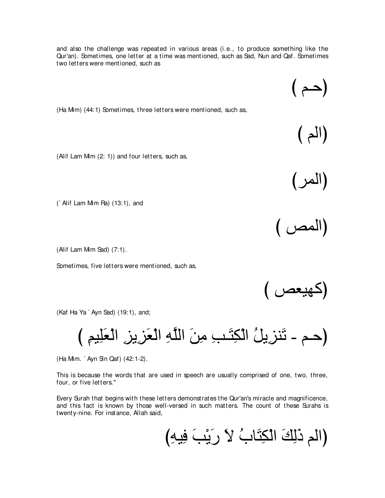and also the challenge was repeated in various areas (i.e., to produce something like the Qur'an). Sometimes, one letter at a time was mentioned, such as Sad, Nun and Qaf. Sometimes two letters were mentioned, such as

(Ha Mim) (44:1) Sometimes, three letters were mentioned, such as,

(Alif Lam Mim (2: 1)) and four letters, such as,

(` Alif Lam Mim Ra) (13:1), and

(Alif Lam Mim Sad) (7:1).

Sometimes, five letters were mentioned, such as,

(Kaf Ha Ya ` Ayn Sad) (19:1), and;

(حـم − تَنز ِيلُ الكِتَــبِ مِنَ اللَّهِ العَز ِيز ِ العَلِيمِ )

(Ha Mim. ` Ayn Sin Qaf) (42:1-2).

This is because the words that are used in speech are usually comprised of one, two, three, four, or five letters.''

Every Surah that begins with these letters demonstrates the Qur'an's miracle and magnificence, and this fact is known by those well-versed in such matters. The count of these Surahs is twenty-nine. For instance, Allah said,

(الم ذَلِكَ الْكِتَابُ لا رَيْبَ فِيهِ)



(كەيعص )

(حـم )

(الم )

(المر)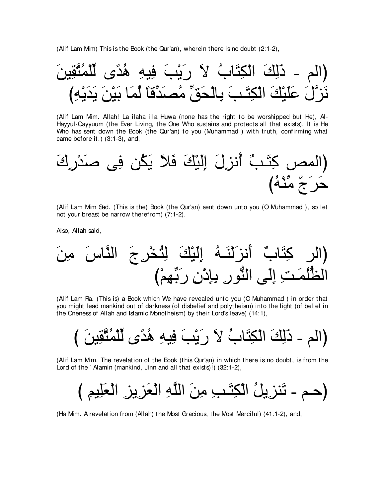(Alif Lam Mim) This is the Book (the Qur'an), wherein there is no doubt (2:1-2),



(Alif Lam Mim. Allah! La ilaha illa Huwa (none has the right to be worshipped but He), Al-Hayyul-Qayyuum (the Ever Living, the One Who sustains and protects all that exists). It is He Who has sent down the Book (the Qur'an) to you (Muhammad ) with truth, confirming what came before it.) (3:1-3), and,



(Alif Lam Mim Sad. (This is the) Book (the Qur'an) sent down unto you (O Muhammad ), so let not your breast be narrow therefrom) (7:1-2).

Also, Allah said,

∠リ⌒ョ ∠サゅzレャや ∠ァ⌒ゲ∇ガ⊥わ⌒ャ ∠マ∇Β∠ャ⌒ま ⊥ヮ⇒∠レ∇ャ∠ゴル∠ぺ ∀ゆゅ∠わ⌒ミ ゲャやぴ び∇ユ⌒ヰあよ∠ケ ⌒ラ∇ク⌒み⌒よ ⌒ケヲぁレャや ヴ∠ャ⌒ま ⌒ろ⇒∠ヨ⊥ヤぁヌャや

(Alif Lam Ra. (This is) a Book which We have revealed unto you (O Muhammad ) in order that you might lead mankind out of darkness (of disbelief and polytheism) into the light (of belief in the Oneness of Allah and Islamic Monotheism) by their Lord's leave) (14:1),

(الم ــ دَلِكَ الْكِتَابُ لاَ رَيْبَ فِيهِ هُدًى لِّلْمُنَّقِبِر∙َ

(Alif Lam Mim. The revelation of the Book (this Qur'an) in which there is no doubt, is from the Lord of the `Alamin (mankind, Jinn and all that exists)!) (32:1-2),

び ⌒ユΒ⌒ヤ∠バ∇ャや ⌒ゴΑ⌒ゴ∠バ∇ャや ⌒ヮzヤャや ∠リ⌒ョ ⌒ょ⇒∠わ⌒ム∇ャや ⊥モΑ⌒ゴレ∠ゎ - ユ⇒ェぴ

(Ha Mim. A revelation from (Allah) the Most Gracious, the Most Merciful) (41:1-2), and,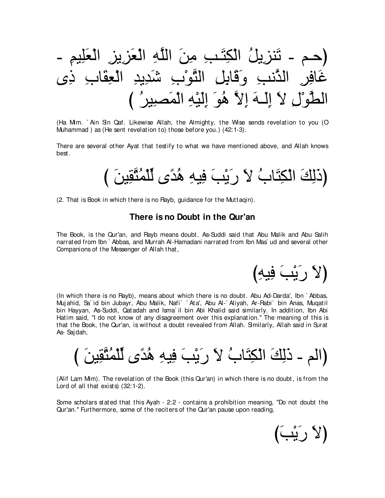َ تَنْزِيلُ الْكِتَّىبِ مِنَ اللَّهِ الْعَزِيزِ غَافر الدَّنب وَقَابِلِ النَّوْبِ شَدِيد العقاب الطَّوْلِ لاَ اِلَّــهَ اِلاَّ هُوَ اِلَّذِهِ الْمَصِيِرِ

(Ha Mim. `Ain Sin Qaf. Likewise Allah, the Almighty, the Wise sends revelation to you (O Muhammad) as (He sent revelation to) those before you.) (42:1-3).

There are several other Ayat that testify to what we have mentioned above, and Allah knows best.



(2. That is Book in which there is no Payb, guidance for the Muttagin).

## There is no Doubt in the Qur'an

The Book, is the Qur'an, and Rayb means doubt. As-Suddi said that Abu Malik and Abu Salih narrated from Ibn `Abbas, and Murrah AI-Hamadani narrated from Ibn Mas`ud and several other Companions of the Messenger of Allah that,



(In which there is no Rayb), means about which there is no doubt. Abu Ad-Darda', Ibn `Abbas, Mujahid, Sa`id bin Jubayr, Abu Malik, Nafi` `Ata', Abu Al-`Aliyah, Ar-Rabi` bin Anas, Muqatil bin Havvan. As-Suddi. Qatadah and Isma'il bin Abi Khalid said similarly. In addition, Ibn Abi Hatim said, "I do not know of any disagreement over this explanation." The meaning of this is that the Book, the Qur'an, is without a doubt revealed from Allah. Similarly, Allah said in Surat As-Sajdah,

(الم ــ ذَلِكَ الْكِتَابُ لاَ رَبْبَ فِيهِ هُدًى لِّلْمُتَّقِينَ

(Alif Lam Mim). The revelation of the Book (this Qur'an) in which there is no doubt, is from the Lord of all that  $exists$  (32:1-2).

Some scholars stated that this Ayah - 2:2 - contains a prohibition meaning, "Do not doubt the Qur'an." Furthermore, some of the reciters of the Qur'an pause upon reading.

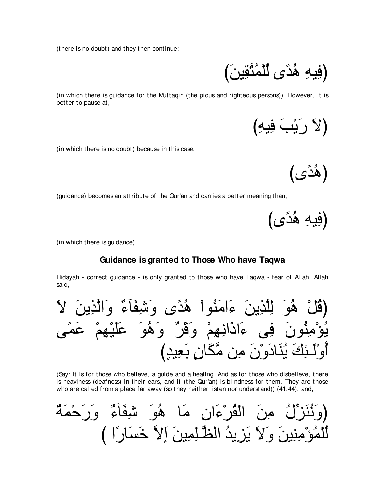(there is no doubt) and they then continue;

(فِيهِ هُدًى لِّلْمُثَّقِينَ)

(in which there is guidance for the Muttaqin (the pious and righteous persons)). However, it is better to pause at,

(لاَ رَيْبَ فِيهِ)

(in which there is no doubt) because in this case,

(هُدَّى)

(guidance) becomes an attribute of the Qur'an and carries a better meaning than,

(فِيهِ هُدًى)

(in which there is guidance).

# **Guidance is granted to Those Who have Taqwa**

Hidayah - correct guidance - is only granted to those who have Taqwa - fear of Allah. Allah said,

∠Ι ∠リΑ⌒グzャや∠ヱ ∀¬べ∠ヘ⌒セ∠ヱ ン⇔ギ⊥ワ ∇やヲ⊥レ∠ョや∠¬ ∠リΑ⌒グzヤ⌒ャ ∠ヲ⊥ワ ∇モ⊥ホぴ ヴ⇔ヨ∠ハ ∇ユ⌒ヰ∇Β∠ヤ∠ハ ∠ヲ⊥ワ∠ヱ ∀ゲ∇ホ∠ヱ ∇ユ⌒ヰ⌒ルや∠クや∠¬ ヴ⌒プ ∠ラヲ⊥レ⌒ョ∇ぽ⊥Α び∃ギΒ⌒バ∠よ ∃ラゅ∠ムzョ リ⌒ョ ∠ラ∇ヱ∠キゅ∠レ⊥Α ∠マ⌒ゃ⇒∠ャ∇ヱ⊥ぺ

(Say: It is for those who believe, a guide and a healing. And as for those who disbelieve, there is heaviness (deafness) in their ears, and it (the Qur'an) is blindness for them. They are those who are called from a place far away (so they neither listen nor understand)) (41:44), and,

∀る∠ヨ∇ェ∠ケ∠ヱ ∀¬べ∠ヘ⌒セ ∠ヲ⊥ワ ゅ∠ョ ⌒ラや∠¬∇ゲ⊥ボ∇ャや ∠リ⌒ョ ⊥メあゴ∠レ⊥ル∠ヱぴ び や⇔ケゅ∠ジ∠カ zΙ∠ま ∠リΒ⌒ヨ⌒ヤ⇒zヌャや ⊥ギΑ⌒ゴ∠Α ∠Ι∠ヱ ∠リΒ⌒レ⌒ョ∇ぽ⊥ヨ∇ヤあャ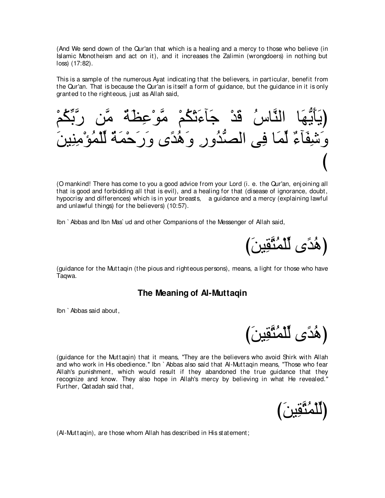(And We send down of the Qur'an that which is a healing and a mercy to those who believe (in Islamic Monotheism and act on it), and it increases the Zalimin (wrongdoers) in nothing but loss) (17:82).

This is a sample of the numerous Ayat indicating that the believers, in particular, benefit from the Qur'an. That is because the Qur'an is itself a form of guidance, but the guidance in it is only granted to the righteous, just as Allah said,

النَّاسُ قَدْ جَآءَثَكُمْ مَّوْعِظَةٌ مَّ وَشَفِأَمٌ لِّمَا فِي الصُّدُورِ وَهُدًى وَرَحْمَة び

(O mankind! There has come to you a good advice from your Lord (i. e. the Qur'an, enjoining all that is good and forbidding all that is evil), and a healing for that (disease of ignorance, doubt, hypocrisy and differences) which is in your breasts, a guidance and a mercy (explaining lawful and unlawful things) for the believers) (10:57).

Ibn ` Abbas and Ibn Mas` ud and other Companions of the Messenger of Allah said,

(هُدَّي لِّلْمُنَّقِينَ)

(guidance for the Muttaqin (the pious and righteous persons), means, a light for those who have Taqwa.

# **The Meaning of Al-Muttaqin**

Ibn ` Abbas said about,

(هُدَّي لِّلْمُنَّقِينَ)

(guidance for the Muttaqin) that it means, "They are the believers who avoid Shirk with Allah and who work in His obedience." Ibn ` Abbas also said that Al-Muttaqin means, "Those who fear Allah's punishment, which would result if they abandoned the true guidance that they recognize and know. They also hope in Allah's mercy by believing in what He revealed.'' Further, Qatadah said that,

(لَلْمُتَّقِينَ)

(Al-Muttaqin), are those whom Allah has described in His statement;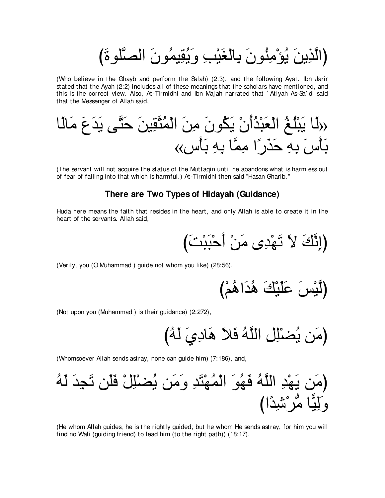(اَلَّذِينَ يُوْمِنُونَ بِالْغَيْبِ وَيُقِيمُونَ الصَّلْوِ ةَ)

(Who believe in the Ghayb and perform the Salah) (2:3), and the following Ayat. Ibn Jarir stated that the Ayah (2:2) includes all of these meanings that the scholars have mentioned, and this is the correct view. Also, At-Tirmidhi and Ibn Maj ah narrated that ` Atiyah As-Sa` di said that the Messenger of Allah said,

ゅ∠ャゅ∠ョ ∠ネ∠ギ∠Α ヴzわ∠ェ ∠リΒ⌒ボzわ⊥ヨ∇ャや ∠リ⌒ョ ∠ラヲ⊥ム∠Α ∇ラ∠ぺ⊥ギ∇ら∠バ∇ャや ⊥ヒ⊥ヤ∇ら∠Α ゅ∠ャ» «サ∇ほ∠よ ⌒ヮ⌒よ ゅzヨ⌒ョ や⇔ケ∠グ∠ェ ⌒ヮ⌒よ ∠サ∇ほ∠よ

(The servant will not acquire the status of the Muttaqin until he abandons what is harmless out of fear of falling into that which is harmful.) At-Tirmidhi then said "Hasan Gharib.''

# **There are Two Types of Hidayah (Guidance)**

Huda here means the faith that resides in the heart, and only Allah is able to create it in the heart of the servants. Allah said,

び∠ろ∇ら∠ら∇ェ∠ぺ ∇リ∠ョ ン⌒ギ∇ヰ∠ゎ ∠Ι ∠マzル⌒まぴ

(Verily, you (O Muhammad ) guide not whom you like) (28:56),

び∇ユ⊥ワや∠ギ⊥ワ ∠マ∇Β∠ヤ∠ハ ∠ザ∇Βzャぴ

(Not upon you (Muhammad ) is their guidance) (2:272),

び⊥ヮ∠ャ ∠ヵ⌒キゅ∠ワ ∠Κ∠プ ⊥ヮzヤャや ⌒モ⌒ヤ∇ツ⊥Α リ∠ョぴ

(Whomsoever Allah sends astray, none can guide him) (7:186), and,

(مَن يَهُدِ الَلَّهُ فَهُوَ المُهُتَّدِ وَمَن يُضٌلِلٰ فَلَن تَجِدَ لَهُ
$$
\overrightarrow{a}
$$

(He whom Allah guides, he is the rightly guided; but he whom He sends astray, for him you will find no Wali (guiding friend) to lead him (to the right path)) (18:17).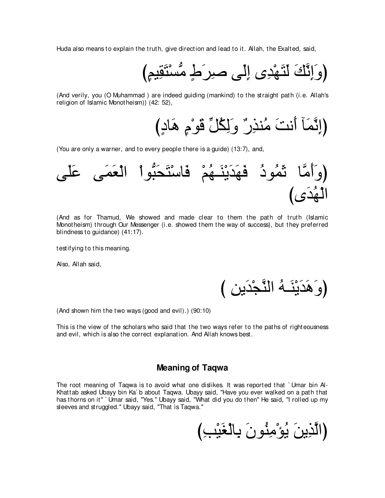Huda also means to explain the truth, give direction and lead to it. Allah, the Exalted, said,



(And verily, you (O Muhammad ) are indeed guiding (mankind) to the straight path (i.e. Allah's religion of Islamic Monotheism)) (42: 52),

إِنَّمَآ أَنتَ مُنذِرٌ وَلِكُلِّ قَوْمٍ هَادِ)

(You are only a warner, and to every people there is a guide) (13:7), and,



(And as for Thamud, We showed and made clear to them the path of truth (Islamic Monotheism) through Our Messenger (i.e. showed them the way of success), but they preferred blindness to guidance) (41:17).

testifying to this meaning.

Also, Allah said,

(و َ هَدَيْنَـهُ النَّجْدَينِ )

(And shown him the two ways (good and evil).) (90:10)

This is the view of the scholars who said that the two ways refer to the paths of righteousness and evil, which is also the correct explanation. And Allah knows best.

# **Meaning of Taqwa**

The root meaning of Taqwa is to avoid what one dislikes. It was reported that ` Umar bin Al-Khattab asked Ubayy bin Ka` b about Taqwa. Ubayy said, "Have you ever walked on a path that has thorns on it" ` Umar said, "Yes." Ubayy said, "What did you do then" He said, "I rolled up my sleeves and struggled.'' Ubayy said, "That is Taqwa.''

(الَّذِينَ يُوْمِئُونَ بِالْغَيْبِ)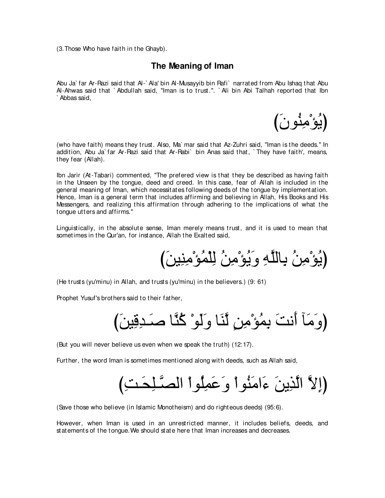(3.Those Who have faith in the Ghayb).

# **The Meaning of Iman**

Abu Ja` far Ar-Razi said that Al-` Ala' bin Al-Musayyib bin Rafi` narrated from Abu Ishaq that Abu Al-Ahwas said that ` Abdullah said, "Iman is to trust.''. ` Ali bin Abi Talhah reported that Ibn ` Abbas said,



(who have faith) means they trust. Also, Ma` mar said that Az-Zuhri said, "Iman is the deeds.'' In addition, Abu Ja` far Ar-Razi said that Ar-Rabi` bin Anas said that, ` They have faith', means, they fear (Allah).

Ibn Jarir (At-Tabari) commented, "The prefered view is that they be described as having faith in the Unseen by the tongue, deed and creed. In this case, fear of Allah is included in the general meaning of Iman, which necessitates following deeds of the tongue by implementation. Hence, Iman is a general term that includes affirming and believing in Allah, His Books and His Messengers, and realizing this affirmation through adhering to the implications of what the tongue utters and affirms.''

Linguistically, in the absolute sense, Iman merely means trust, and it is used to mean that sometimes in the Qur'an, for instance, Allah the Exalted said,

﴿يُوْمِنُ بِاللَّهِ وَيُوْمِنُ لِلْمُوْمِنِينَ)

(He trusts (yu'minu) in Allah, and trusts (yu'minu) in the believers.) (9: 61)

Prophet Yusuf's brothers said to their father,

(وَ مَأَ أَنتَ بِمُؤْمِنٍ لَّنَا وَلَوْ كُنَّا صَدِقِينَ)

(But you will never believe us even when we speak the truth) (12:17).

Further, the word Iman is sometimes mentioned along with deeds, such as Allah said,

(إِلاَّ الَّذِينَ ءَامَنُواْ وَعَمِلُواْ الصَّـلِحَـتِ)

(Save those who believe (in Islamic Monotheism) and do righteous deeds) (95:6).

However, when Iman is used in an unrestricted manner, it includes beliefs, deeds, and statements of the tongue.We should state here that Iman increases and decreases.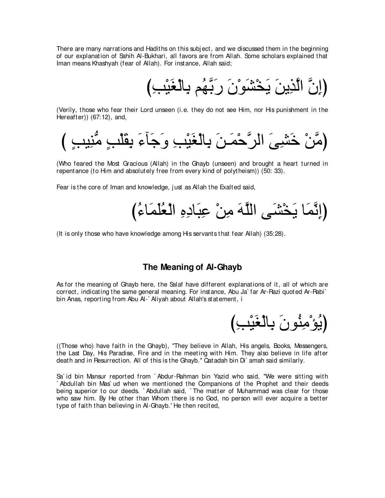There are many narrations and Hadiths on this subject, and we discussed them in the beginning of our explanation of Sahih Al-Bukhari, all favors are from Allah. Some scholars explained that Iman means Khashvah (fear of Allah). For instance, Allah said:

(Verily, those who fear their Lord unseen (i.e. they do not see Him, nor His punishment in the Hereafter)) (67:12), and,

(Who feared the Most Gracious (Allah) in the Ghayb (unseen) and brought a heart turned in repentance (to Him and absolutely free from every kind of polytheism)) (50: 33).

Fear is the core of Iman and knowledge, just as Allah the Exalted said,

(It is only those who have knowledge among His servants that fear Allah) (35:28).

# The Meaning of AI-Ghayb

As for the meaning of Ghayb here, the Salaf have different explanations of it, all of which are correct, indicating the same general meaning. For instance, Abu Ja`far Ar-Razi quoted Ar-Rabi` bin Anas, reporting from Abu Al-`Aliyah about Allah's statement, i

(يُؤْمِنُونَ بِالْغَيْبِ)

((Those who) have faith in the Ghayb), "They believe in Allah, His angels, Books, Messengers, the Last Day, His Paradise, Fire and in the meeting with Him. They also believe in life after death and in Pesurrection. All of this is the Ghayb." Qatadah bin Di`amah said similarly.

Sa'id bin Mansur reported from `Abdur-Rahman bin Yazid who said, "We were sitting with `Abdullah bin Mas`ud when we mentioned the Companions of the Prophet and their deeds being superior to our deeds. `Abdullah said, `The matter of Muhammad was clear for those who saw him. By He other than Whom there is no God, no person will ever acquire a better type of faith than believing in Al-Ghayb.' He then recited,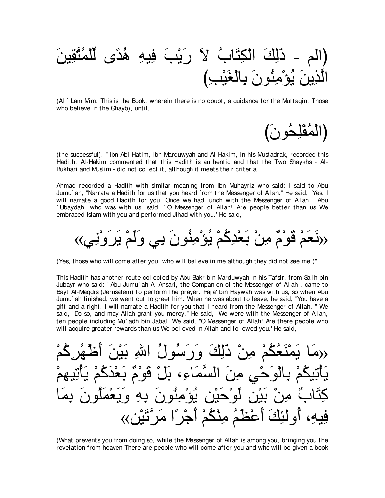هَدَى ر بُبَ فِيهِ

(Alif Lam Mim. This is the Book, wherein there is no doubt, a guidance for the Muttagin. Those who believe in the Ghavb), until.

(الْمُقْلِحُو نَ

(the successful). " Ibn Abi Hatim, Ibn Marduwyah and Al-Hakim, in his Mustadrak, recorded this Hadith. Al-Hakim commented that this Hadith is authentic and that the Two Shaykhs - Al-Bukhari and Muslim - did not collect it, although it meets their criteria.

Ahmad recorded a Hadith with similar meaning from Ibn Muhayriz who said: I said to Abu Jumu' ah, "Narrate a Hadith for us that you heard from the Messenger of Allah." He said, "Yes. I will narrate a good Hadith for you. Once we had lunch with the Messenger of Allah. Abu 'Ubaydah, who was with us, said, 'O Messenger of Allah! Are people better than us We embraced Islam with you and performed Jihad with you.' He said,

﴿(نَعَمْ قُوْمٌ مِنْ بَعْدِكُمْ يُؤْمِنُونَ بِي وَلَمْ يَرَوْنِيِ››

(Yes, those who will come after you, who will believe in me although they did not see me.)"

This Hadith has another route collected by Abu Bakr bin Marduwyah in his Tafsir, from Salih bin Jubayr who said: `Abu Jumu`ah Al-Ansari, the Companion of the Messenger of Allah, came to Bayt Al-Magdis (Jerusalem) to perform the prayer. Paia' bin Haywah was with us, so when Abu Jumu` ah finished, we went out to greet him. When he was about to leave, he said, "You have a gift and a right. I will narrate a Hadith for you that I heard from the Messenger of Allah. "We said, "Do so, and may Allah grant you mercy." He said, "We were with the Messenger of Allah, ten people including Mu`adh bin Jabal. We said, "O Messenger of Allah! Are there people who will acquire greater rewards than us We believed in Allah and followed you.' He said,

کہ من و د سه السّماء، بِهِ مِنْهِ نَ ه حدن ہ د لَّئِكَ أَعْظُمُ مِنْكُمْ أَجْرِ ًا مَرَّتَثِيْنِ›› فبك

(What prevents you from doing so, while the Messenger of Allah is among you, bringing you the revelation from heaven There are people who will come after you and who will be given a book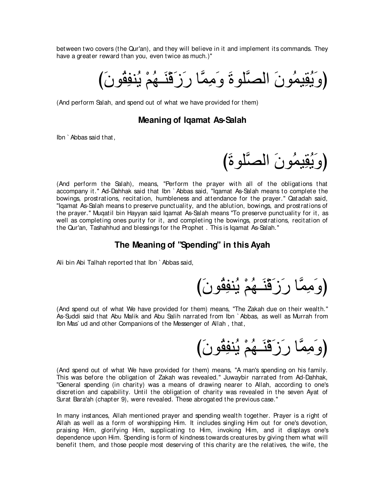between two covers (the Qur'an), and they will believe in it and implement its commands. They have a greater reward than you, even twice as much.)''

(وَيُقِيمُونَ الصَّلوةَ وَمِمَّا رَزَقْنَـهُمْ يُنفِقُونَ)

(And perform Salah, and spend out of what we have provided for them)

## **Meaning of Iqamat As-Salah**

Ibn ` Abbas said that,

وَيُقِيمُونَ الصَّلوةَ)

(And perform the Salah), means, "Perform the prayer with all of the obligations that accompany it.'' Ad-Dahhak said that Ibn ` Abbas said, "Iqamat As-Salah means to complete the bowings, prostrations, recitation, humbleness and attendance for the prayer.'' Qatadah said, "Iqamat As-Salah means to preserve punctuality, and the ablution, bowings, and prostrations of the prayer.'' Muqatil bin Hayyan said Iqamat As-Salah means "To preserve punctuality for it, as well as completing ones purity for it, and completing the bowings, prostrations, recitation of the Qur'an, Tashahhud and blessings for the Prophet . This is Iqamat As-Salah.''

# **The Meaning of "Spending'' in this Ayah**

Ali bin Abi Talhah reported that Ibn ` Abbas said,

(وَمِمَّا رَزَقْنَـهُمْ يُنْفِقُونَ)

(And spend out of what We have provided for them) means, "The Zakah due on their wealth.'' As-Suddi said that Abu Malik and Abu Salih narrated from Ibn ` Abbas, as well as Murrah from Ibn Mas` ud and other Companions of the Messenger of Allah , that,

(وَمِمَّا رَزَقْنَـهُمْ يُنْفِقُونَ)

(And spend out of what We have provided for them) means, "A man's spending on his family. This was before the obligation of Zakah was revealed.'' Juwaybir narrated from Ad-Dahhak, "General spending (in charity) was a means of drawing nearer to Allah, according to one's discretion and capability. Until the obligation of charity was revealed in the seven Ayat of Surat Bara'ah (chapter 9), were revealed. These abrogated the previous case.''

In many instances, Allah mentioned prayer and spending wealth together. Prayer is a right of Allah as well as a form of worshipping Him. It includes singling Him out for one's devotion, praising Him, glorifying Him, supplicating to Him, invoking Him, and it displays one's dependence upon Him. Spending is form of kindness towards creatures by giving them what will benefit them, and those people most deserving of this charity are the relatives, the wife, the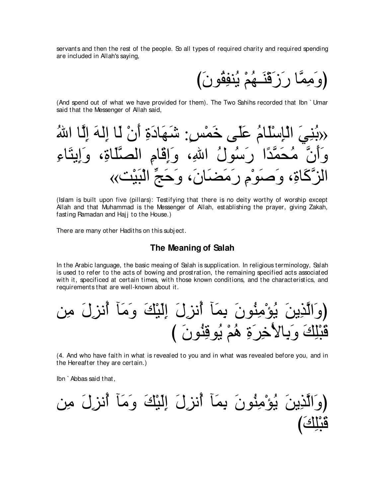servants and then the rest of the people. So all types of required charity and required spending are included in Allah's saying,



(And spend out of what we have provided for them). The Two Sahihs recorded that Ibn ` Umar said that the Messenger of Allah said,

⊥ぶや ゅzャ⌒ま ∠ヮャ⌒ま ゅ∠ャ ∇ラ∠ぺ ⌒り∠キゅ∠ヰ∠セ :∃ザ∇ヨ∠カ ヴ∠ヤ∠ハ ⊥ュゅ∠ヤ∇シ⌒み∇ャや ∠ヶ⌒レ⊥よ» ⌒¬ゅ∠わΑ⌒ま∠ヱ ∩⌒りゅ∠ヤzダャや ⌒ュゅ∠ホ⌒ま∠ヱ ∩⌒ぶや ⊥メヲ⊥シ∠ケ や⇔ギzヨ∠エ⊥ョ zラ∠ぺ∠ヱ «ろ∇Β∠ら∇ャや あア∠ェ∠ヱ ∩∠ラゅ∠ツ∠ョ∠ケ ⌒ュ∇ヲ∠タ∠ヱ ∩⌒りゅ∠ミzゴャや

(Islam is built upon five (pillars): Testifying that there is no deity worthy of worship except Allah and that Muhammad is the Messenger of Allah, establishing the prayer, giving Zakah, fasting Ramadan and Hajj to the House.)

There are many other Hadiths on this subj ect.

#### **The Meaning of Salah**

In the Arabic language, the basic meaing of Salah is supplication. In religious terminology, Salah is used to refer to the acts of bowing and prostration, the remaining specified acts associated with it, specificed at certain times, with those known conditions, and the characteristics, and requirements that are well-known about it.

リ⌒ョ ∠メ⌒ゴル⊥ぺ べ∠ョ∠ヱ ∠マ∇Β∠ャ⌒ま ∠メ⌒ゴル⊥ぺ べ∠ヨ⌒よ ∠ラヲ⊥レ⌒ョ∇ぽ⊥Α ∠リΑ⌒グzャや∠ヱぴ び ∠ラヲ⊥レ⌒ホヲ⊥Α ∇ユ⊥ワ ⌒り∠ゲ⌒カ∇Εゅ⌒よ∠ヱ ∠マ⌒ヤ∇ら∠ホ

(4. And who have faith in what is revealed to you and in what was revealed before you, and in the Hereafter they are certain.)

Ibn ` Abbas said that,

リ⌒ョ ∠メ⌒ゴル⊥ぺ べ∠ョ∠ヱ ∠マ∇Β∠ャ⌒ま ∠メ⌒ゴル⊥ぺ べ∠ヨ⌒よ ∠ラヲ⊥レ⌒ョ∇ぽ⊥Α ∠リΑ⌒グzャや∠ヱぴ び∠マ⌒ヤ∇ら∠ホ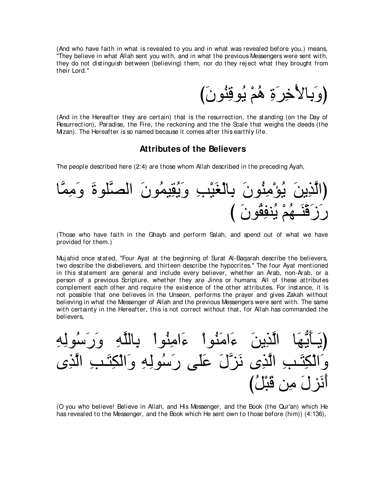(And who have faith in what is revealed to you and in what was revealed before you.) means, "They believe in what Allah sent you with, and in what the previous Messengers were sent with, they do not distinguish between (believing) them, nor do they rej ect what they brought from their Lord.''

(وَيالأخِرَةِ هُمْ يُوقِنُونَ)

(And in the Hereafter they are certain) that is the resurrection, the standing (on the Day of Resurrection), Paradise, the Fire, the reckoning and the the Scale that weighs the deeds (the Mizan). The Hereafter is so named because it comes after this earthly life.

# **Attributes of the Believers**

The people described here (2:4) are those whom Allah described in the preceding Ayah,



(Those who have faith in the Ghayb and perform Salah, and spend out of what we have provided for them.)

Muj ahid once stated, "Four Ayat at the beginning of Surat Al-Baqarah describe the believers, two describe the disbelievers, and thirteen describe the hypocrites.'' The four Ayat mentioned in this statement are general and include every believer, whether an Arab, non-Arab, or a person of a previous Scripture, whether they are Jinns or humans. All of these attributes complement each other and require the existence of the other attributes. For instance, it is not possible that one believes in the Unseen, performs the prayer and gives Zakah without believing in what the Messenger of Allah and the previous Messengers were sent with. The same with certainty in the Hereafter, this is not correct without that, for Allah has commanded the believers,



(O you who believe! Believe in Allah, and His Messenger, and the Book (the Qur'an) which He has revealed to the Messenger, and the Book which He sent own to those before (him)) (4:136),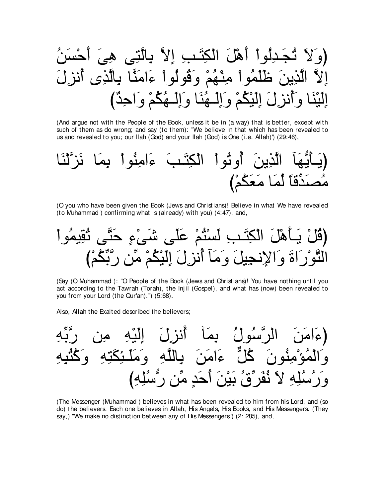(وَلاَ تُجَدِلُواْ أَهْلَ الْكِتَـٰبِ إِلاَّ بِالَّتِي هِيَ احْسَنُ الَّذِينَ ظَلَمُواْ مِنْهُمْ وَقُولُواْ ءَامَنَّا بِالَّذِي أَنزِ اِلَيْنَا وَأَنْزِلَ اِلَيْكُمْ وَالْكُنَا وَالْكُكُمْ وَاحِدٌ)

(And argue not with the People of the Book, unless it be in (a way) that is better, except with such of them as do wrong; and say (to them): "We believe in that which has been revealed to us and revealed to you; our llah (God) and your llah (God) is One (i.e. Allah)') (29:46),



(O you who have been given the Book (Jews and Christians)! Believe in what We have revealed (to Muhammad) confirming what is (already) with you) (4:47), and,

(Say (O Muhammad): "O People of the Book (Jews and Christians)! You have nothing until you act according to the Tawrah (Torah), the Injil (Gospel), and what has (now) been revealed to you from your Lord (the Qur'an).") (5:68).

Also, Allah the Exalted described the believers;



(The Messenger (Muhammad) believes in what has been revealed to him from his Lord, and (so do) the believers. Each one believes in Allah, His Angels, His Books, and His Messengers. (They say.) "We make no distinction between any of His Messengers") (2: 285), and,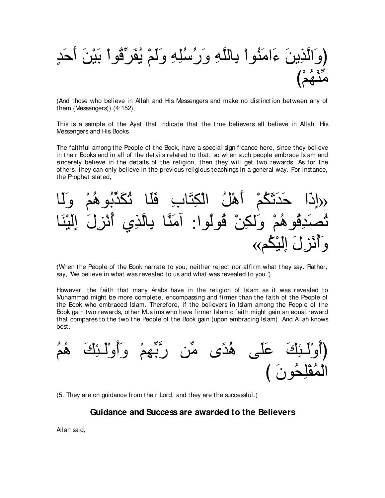

(And those who believe in Allah and His Messengers and make no distinction between any of them (Messengers)) (4:152).

This is a sample of the Ayat that indicate that the true believers all believe in Allah, His Messengers and His Books.

The faithful among the People of the Book, have a special significance here, since they believe in their Books and in all of the details related to that, so when such people embrace Islam and sincerely believe in the details of the religion, then they will get two rewards. As for the others, they can only believe in the previous religious teachings in a general way. For instance, the Prophet stated,



(When the People of the Book narrate to you, neither reject nor affirm what they say. Pather, say, 'We believe in what was revealed to us and what was revealed to you.')

However, the faith that many Arabs have in the religion of Islam as it was revealed to Muhammad might be more complete, encompassing and firmer than the faith of the People of the Book who embraced Islam. Therefore, if the believers in Islam among the People of the Book gain two rewards, other Muslims who have firmer Islamic faith might gain an equal reward that compares to the two the People of the Book gain (upon embracing Islam). And Allah knows best.



(5. They are on quidance from their Lord, and they are the successful.)

## Guidance and Success are awarded to the Believers

Allah said.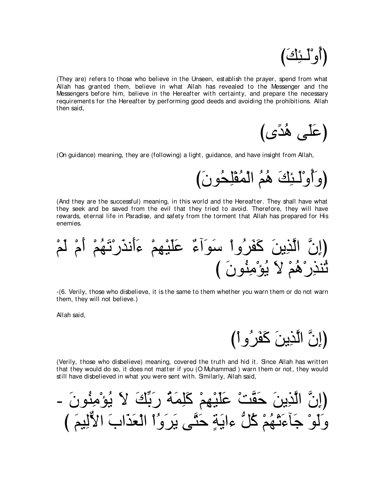(أَو°لَـئِكَ)

(They are) refers to those who believe in the Unseen, establish the prayer, spend from what Allah has granted them, believe in what Allah has revealed to the Messenger and the Messengers before him, believe in the Hereafter with certainty, and prepare the necessary requirements for the Hereafter by performing good deeds and avoiding the prohibitions. Allah then said,

(عَلَى هُدَّى)

(On guidance) meaning, they are (following) a light, guidance, and have insight from Allah,

び∠ラヲ⊥エ⌒ヤ∇ヘ⊥ヨ∇ャや ⊥ユ⊥ワ ∠マ⌒ゃ⇒∠ャ∇ヱ⊥ぺ∠ヱぴ

(And they are the successful) meaning, in this world and the Hereafter. They shall have what they seek and be saved from the evil that they tried to avoid. Therefore, they will have rewards, eternal life in Paradise, and safety from the torment that Allah has prepared for His enemies.

∇ユ∠ャ ∇ュ∠ぺ ∇ユ⊥ヰ∠ゎ∇ケ∠グル∠ぺ∠¬ ∇ユ⌒ヰ∇Β∠ヤ∠ハ ∀¬へ∠ヲ∠シ ∇やヱ⊥ゲ∠ヘ∠ミ ∠リΑ⌒グzャや zラ⌒まぴ び ∠ラヲ⊥レ⌒ョ∇ぽ⊥Α ∠Ι ∇ユ⊥ワ∇ケ⌒グレ⊥ゎ

-(6. Verily, those who disbelieve, it is the same to them whether you warn them or do not warn them, they will not believe.)

Allah said,

(إِنَّ الَّذِينَ كَفَرُو ا)

(Verily, those who disbelieve) meaning, covered the truth and hid it. Since Allah has written that they would do so, it does not matter if you (O Muhammad ) warn them or not, they would still have disbelieved in what you were sent with. Similarly, Allah said,

 - ∠ラヲ⊥レ⌒ョ∇ぽ⊥Α ∠Ι ∠マあよ∠ケ ⊥る∠ヨ⌒ヤ∠ミ ∇ユ⌒ヰ∇Β∠ヤ∠ハ ∇ろzボ∠ェ ∠リΑ⌒グzャや zラ⌒まぴ び ∠ユΒ⌒ャxΙや ∠ゆや∠グ∠バ∇ャや ∇や⊥ヱ∠ゲ∠Α ヴzわ∠ェ ∃る∠Αや¬ ぁモ⊥ミ ∇ユ⊥ヰ∇ゎ∠¬べ∠ィ ∇ヲ∠ャ∠ヱ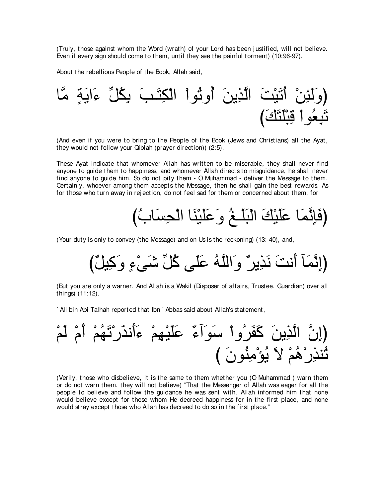(Truly, those against whom the Word (wrath) of your Lord has been j ustified, will not believe. Even if every sign should come to them, until they see the painful torment) (10:96-97).

About the rebellious People of the Book, Allah said,



(And even if you were to bring to the People of the Book (Jews and Christians) all the Ayat, they would not follow your Qiblah (prayer direction)) (2:5).

These Ayat indicate that whomever Allah has written to be miserable, they shall never find anyone to guide them to happiness, and whomever Allah directs to misguidance, he shall never find anyone to guide him. So do not pity them - O Muhammad - deliver the Message to them. Certainly, whoever among them accepts the Message, then he shall gain the best rewards. As for those who turn away in rej ection, do not feel sad for them or concerned about them, for



(Your duty is only to convey (the Message) and on Us is the reckoning) (13: 40), and,

び∀モΒ⌒ミ∠ヱ ∃¬∇ヴ∠セ あモ⊥ミ ヴ∠ヤ∠ハ ⊥ヮzヤャや∠ヱ ∀ゲΑ⌒グ∠ル ∠ろル∠ぺ べ∠ヨzル⌒まぴ

(But you are only a warner. And Allah is a Wakil (Disposer of affairs, Trustee, Guardian) over all things) (11:12).

` Ali bin Abi Talhah reported that Ibn ` Abbas said about Allah's statement,

∇ユ∠ャ ∇ュ∠ぺ ∇ユ⊥ヰ∠ゎ∇ケ∠グル∠ぺ∠¬ ∇ユ⌒ヰ∇Β∠ヤ∠ハ ∀¬へ∠ヲ∠シ ∇やヱ⊥ゲ∠ヘ∠ミ ∠リΑ⌒グzャや zラ⌒まぴ び ∠ラヲ⊥レ⌒ョ∇ぽ⊥Α ∠Ι ∇ユ⊥ワ∇ケ⌒グレ⊥ゎ

(Verily, those who disbelieve, it is the same to them whether you (O Muhammad ) warn them or do not warn them, they will not believe) "That the Messenger of Allah was eager for all the people to believe and follow the guidance he was sent with. Allah informed him that none would believe except for those whom He decreed happiness for in the first place, and none would stray except those who Allah has decreed to do so in the first place.''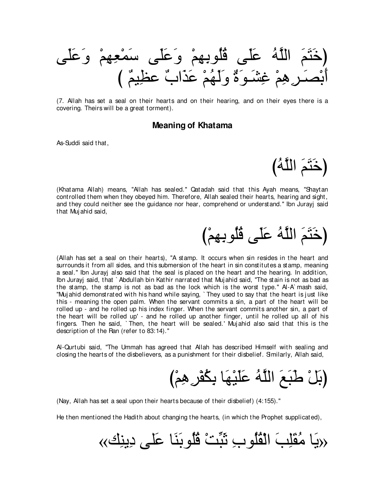(خَنَمَ اللَّهُ عَلَى ڤُلُوبِهِمْ وَعَلَى سَمْعِهِمْ وَعَلَى كر هِمْ غِشَـوَةٌ وَلَـهُمْ عَذَابٌ عظيمٌ )

(7. Allah has set a seal on their hearts and on their hearing, and on their eyes there is a covering. Theirs will be a great torment).

# **Meaning of Khatama**

As-Suddi said that,

(Khatama Allah) means, "Allah has sealed.'' Qatadah said that this Ayah means, "Shaytan controlled them when they obeyed him. Therefore, Allah sealed their hearts, hearing and sight, and they could neither see the guidance nor hear, comprehend or understand.'' Ibn Jurayj said that Muj ahid said,

(خَثَمَ اللَّهُ عَلَى قُلُوبِهِمْ)

(خَثَمَ اللَّهُ)

(Allah has set a seal on their hearts), "A stamp. It occurs when sin resides in the heart and surrounds it from all sides, and this submersion of the heart in sin constitutes a stamp, meaning a seal.'' Ibn Jurayj also said that the seal is placed on the heart and the hearing. In addition, Ibn Jurayj said, that ` Abdullah bin Kathir narrated that Muj ahid said, "The stain is not as bad as the stamp, the stamp is not as bad as the lock which is the worst type.'' Al-A` mash said, "Muj ahid demonstrated with his hand while saying, ` They used to say that the heart is j ust like this - meaning the open palm. When the servant commits a sin, a part of the heart will be rolled up - and he rolled up his index finger. When the servant commits another sin, a part of the heart will be rolled up' - and he rolled up another finger, until he rolled up all of his fingers. Then he said, ` Then, the heart will be sealed.' Muj ahid also said that this is the description of the Ran (refer to 83:14).''

Al-Qurtubi said, "The Ummah has agreed that Allah has described Himself with sealing and closing the hearts of the disbelievers, as a punishment for their disbelief. Similarly, Allah said,

(بَلْ طَبَعَ اللَّهُ عَلَيْهَا بِكُفْرِ هِمْ)

(Nay, Allah has set a seal upon their hearts because of their disbelief) (4:155).''

He then mentioned the Hadith about changing the hearts, (in which the Prophet supplicated),

«マ⌒レΑ⌒キ ヴヤ∠ハ ゅ∠レ∠よヲ⊥ヤ⊥ホ ∇ろあら∠を ⌒ゆヲ⊥ヤ⊥ボ∇ャや ∠ょ⌒ヤ∠ボ⊥ョ ゅ∠Α»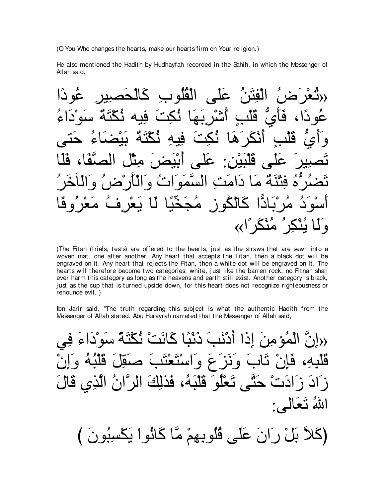(O You Who changes the hearts, make our hearts firm on Your religion.)

He also mentioned the Hadith by Hudhayfah recorded in the Sahih, in which the Messenger of Allah said.



(The Fitan (trials, tests) are offered to the hearts, just as the straws that are sewn into a woven mat, one after another. Any heart that accepts the Fitan, then a black dot will be engraved on it. Any heart that rejects the Fitan, then a white dot will be engraved on it. The hearts will therefore become two categories: white, just like the barren rock; no Fitnah shall ever harm this category as long as the heavens and earth still exist. Another category is black, just as the cup that is turned upside down, for this heart does not recognize righteousness or renounce evil.)

Ibn Jarir said. "The truth regarding this subject is what the authentic Hadith from the Messenger of Allah stated. Abu Hurayrah narrated that the Messenger of Allah said,

ءَ دَنْيًا كَانَتْ نُكَنَّهُ سَوْدَ المُؤمن وَنَزَعَ وَاسْتَعْتَبَ صَقْلَ فلأكم فان تاب زَ ادَ زَ ادَتْ حَتَّى تَعْلُوَ قُلْبَهُ، فَذَلِكَ الرَّانُ الَّذِي قَالَ اللَّهُ تَعَالَى:

(كَلاَّ بَلْ رَانَ عَلَى قُلُوبِهِمْ مَّا كَانُواْ يَكْسِبُونَ )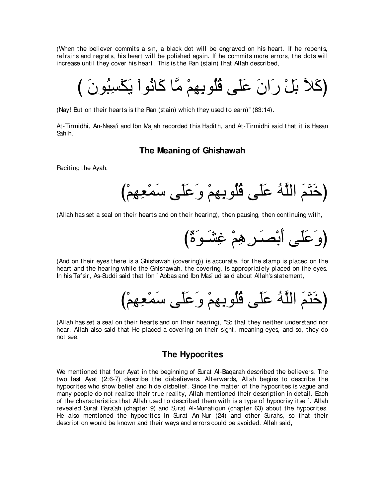(When the believer commits a sin, a black dot will be engraved on his heart. If he repents, refrains and regrets, his heart will be polished again. If he commits more errors, the dots will increase until they cover his heart. This is the Ran (stain) that Allah described,

び ∠ラヲ⊥ら⌒ジ∇ム∠Α ∇やヲ⊥ルゅ∠ミ ゅzョ ∇ユ⌒ヰ⌒よヲ⊥ヤ⊥ホ ヴ∠ヤ∠ハ ∠ラや∠ケ ∇モ∠よ zΚ∠ミぴ

(Nay! But on their hearts is the Ran (stain) which they used to earn)'' (83:14).

At-Tirmidhi, An-Nasa'i and Ibn Maj ah recorded this Hadith, and At-Tirmidhi said that it is Hasan Sahih.

## **The Meaning of Ghishawah**

Reciting the Ayah,

び∇ユ⌒ヰ⌒バ∇ヨ∠シ ヴ∠ヤ∠ハ∠ヱ ∇ユ⌒ヰ⌒よヲ⊥ヤ⊥ホ ヴ∠ヤ∠ハ ⊥ヮzヤャや ∠ユ∠わ∠カぴ

(Allah has set a seal on their hearts and on their hearing), then pausing, then continuing with,

(وَ عَلَى أَبْصَدَرِ هِمْ غِشَوَةٌ)

(And on their eyes there is a Ghishawah (covering)) is accurate, for the stamp is placed on the heart and the hearing while the Ghishawah, the covering, is appropriately placed on the eyes. In his Tafsir, As-Suddi said that Ibn ` Abbas and Ibn Mas` ud said about Allah's statement,



(Allah has set a seal on their hearts and on their hearing), "So that they neither understand nor hear. Allah also said that He placed a covering on their sight, meaning eyes, and so, they do not see.''

### **The Hypocrites**

We mentioned that four Ayat in the beginning of Surat Al-Bagarah described the believers. The two last Ayat (2:6-7) describe the disbelievers. Afterwards, Allah begins to describe the hypocrites who show belief and hide disbelief. Since the matter of the hypocrites is vague and many people do not realize their true reality, Allah mentioned their description in detail. Each of the characteristics that Allah used to described them with is a type of hypocrisy itself. Allah revealed Surat Bara'ah (chapter 9) and Surat Al-Munafiqun (chapter 63) about the hypocrites. He also mentioned the hypocrites in Surat An-Nur (24) and other Surahs, so that their description would be known and their ways and errors could be avoided. Allah said,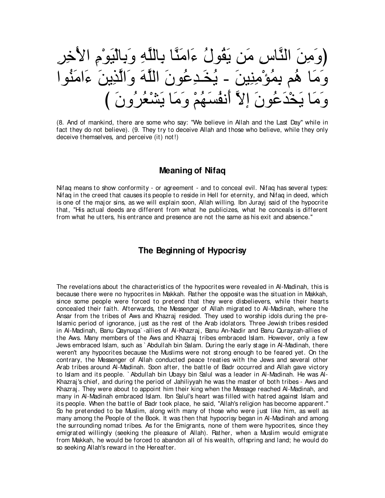⌒ゲ⌒カ∇Εや ⌒ュ∇ヲ∠Β∇ャゅ⌒よ∠ヱ ⌒ヮzヤャゅ⌒よ ゅzレ∠ョや∠¬ ⊥メヲ⊥ボ∠Α リ∠ョ ⌒サゅzレャや ∠リ⌒ョ∠ヱぴ やヲ⊥レ∠ョや∠¬ ∠リΑ⌒グzャや∠ヱ ∠ヮzヤャや ∠ラヲ⊥ハ⌒ギ⇒∠ガ⊥Α - ∠リΒ⌒レ⌒ョ∇ぽ⊥ヨ⌒よ ユ⊥ワ ゅ∠ョ∠ヱ び ∠ラヱ⊥ゲ⊥バ∇ゼ∠Α ゅ∠ョ∠ヱ ∇ユ⊥ヰ∠ジ⊥ヘル∠ぺ zΙま ∠ラヲ⊥ハ∠ギ∇ガ∠Α ゅ∠ョ∠ヱ

(8. And of mankind, there are some who say: "We believe in Allah and the Last Day'' while in fact they do not believe). (9. They try to deceive Allah and those who believe, while they only deceive themselves, and perceive (it) not!)

# **Meaning of Nifaq**

Nifaq means to show conformity - or agreement - and to conceal evil. Nifaq has several types: Nifaq in the creed that causes its people to reside in Hell for eternity, and Nifaq in deed, which is one of the major sins, as we will explain soon, Allah willing. Ibn Jurayj said of the hypocrite that, "His actual deeds are different from what he publicizes, what he conceals is different from what he utters, his entrance and presence are not the same as his exit and absence.''

# **The Beginning of Hypocrisy**

The revelations about the characteristics of the hypocrites were revealed in Al-Madinah, this is because there were no hypocrites in Makkah. Rather the opposite was the situation in Makkah, since some people were forced to pretend that they were disbelievers, while their hearts concealed their faith. Afterwards, the Messenger of Allah migrated to Al-Madinah, where the Ansar from the tribes of Aws and Khazraj resided. They used to worship idols during the pre-Islamic period of ignorance, just as the rest of the Arab idolators. Three Jewish tribes resided in Al-Madinah, Banu Qaynuqa` -allies of Al-Khazraj , Banu An-Nadir and Banu Qurayzah-allies of the Aws. Many members of the Aws and Khazraj tribes embraced Islam. However, only a few Jews embraced Islam, such as ` Abdullah bin Salam. During the early stage in Al-Madinah, there weren't any hypocrites because the Muslims were not strong enough to be feared yet. On the contrary, the Messenger of Allah conducted peace treaties with the Jews and several other Arab tribes around Al-Madinah. Soon after, the battle of Badr occurred and Allah gave victory to Islam and its people. ` Abdullah bin Ubayy bin Salul was a leader in Al-Madinah. He was Al-Khazraj 's chief, and during the period of Jahiliyyah he was the master of both tribes - Aws and Khazraj. They were about to appoint him their king when the Message reached Al-Madinah, and many in Al-Madinah embraced Islam. Ibn Salul's heart was filled with hatred against Islam and its people. When the battle of Badr took place, he said, "Allah's religion has become apparent.'' So he pretended to be Muslim, along with many of those who were just like him, as well as many among the People of the Book. It was then that hypocrisy began in Al-Madinah and among the surrounding nomad tribes. As for the Emigrants, none of them were hypocrites, since they emigrated willingly (seeking the pleasure of Allah). Rather, when a Muslim would emigrate from Makkah, he would be forced to abandon all of his wealth, offspring and land; he would do so seeking Allah's reward in the Hereafter.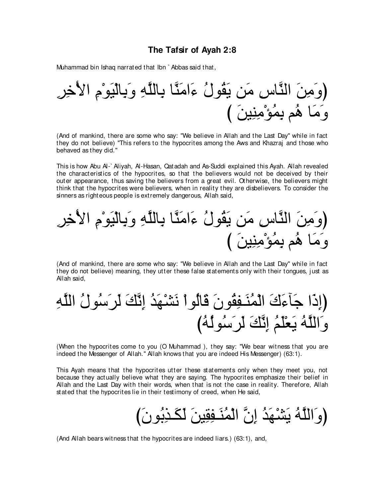## **The Tafsir of Ayah 2:8**

Muhammad bin Ishaq narrated that Ibn ` Abbas said that,

⌒ゲ⌒カ∇Εや ⌒ュ∇ヲ∠Β∇ャゅ⌒よ∠ヱ ⌒ヮzヤャゅ⌒よ ゅzレ∠ョや∠¬ ⊥メヲ⊥ボ∠Α リ∠ョ ⌒サゅzレャや ∠リ⌒ョ∠ヱぴ び ∠リΒ⌒レ⌒ョ∇ぽ⊥ヨ⌒よ ユ⊥ワ ゅ∠ョ∠ヱ

(And of mankind, there are some who say: "We believe in Allah and the Last Day'' while in fact they do not believe) "This refers to the hypocrites among the Aws and Khazraj and those who behaved as they did.''

This is how Abu Al-` Aliyah, Al-Hasan, Qatadah and As-Suddi explained this Ayah. Allah revealed the characteristics of the hypocrites, so that the believers would not be deceived by their outer appearance, thus saving the believers from a great evil. Otherwise, the believers might think that the hypocrites were believers, when in reality they are disbelievers. To consider the sinners as righteous people is extremely dangerous, Allah said,

⌒ゲ⌒カ∇Εや ⌒ュ∇ヲ∠Β∇ャゅ⌒よ∠ヱ ⌒ヮzヤャゅ⌒よ ゅzレ∠ョや∠¬ ⊥メヲ⊥ボ∠Α リ∠ョ ⌒サゅzレャや ∠リ⌒ョ∠ヱぴ び ∠リΒ⌒レ⌒ョ∇ぽ⊥ヨ⌒よ ユ⊥ワ ゅ∠ョ∠ヱ

(And of mankind, there are some who say: "We believe in Allah and the Last Day'' while in fact they do not believe) meaning, they utter these false statements only with their tongues, just as Allah said,

( إذَا جَآءَكَ الَمُنَفِقُونَ قَالُو1 نَشْهَدُ إنَّكَ لَرَسُولُ الَّلَهِ
$$
\widehat{\mathbf{r}}
$$
وَالَلَهُ يَعُلَمُ إنَّكَ لَرَسُولُهُ

(When the hypocrites come to you (O Muhammad ), they say: "We bear witness that you are indeed the Messenger of Allah.'' Allah knows that you are indeed His Messenger) (63:1).

This Ayah means that the hypocrites utter these statements only when they meet you, not because they actually believe what they are saying. The hypocrites emphasize their belief in Allah and the Last Day with their words, when that is not the case in reality. Therefore, Allah stated that the hypocrites lie in their testimony of creed, when He said,

び∠ラヲ⊥よ⌒グ⇒∠ム∠ャ ∠リΒ⌒ボ⌒ヘ⇒∠レ⊥ヨ∇ャや zラ⌒ま ⊥ギ∠ヰ∇ゼ∠Α ⊥ヮzヤャや∠ヱぴ

(And Allah bears witness that the hypocrites are indeed liars.) (63:1), and,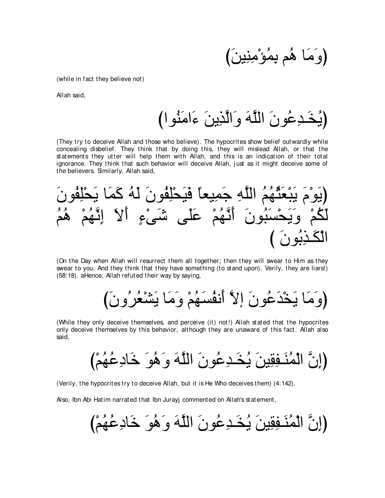(وَمَا هُم بِمُؤْمِنِينَ)

(while in fact they believe not)

Allah said,

# (يُخَدِعُونَ اللَّهَ وَالَّذِينَ ءَامَنُو ا)

(They try to deceive Allah and those who believe). The hypocrites show belief outwardly while concealing disbelief. They think that by doing this, they will mislead Allah, or that the statements they utter will help them with Allah, and this is an indication of their total ignorance. They think that such behavior will deceive Allah, just as it might deceive some of the believers. Smilarly, Allah said,



(On the Day when Allah will resurrect them all together; then they will swear to Him as they swear to you. And they think that they have something (to stand upon). Verily, they are liars!) (58:18). aHence, Allah refuted their way by saying,

(وَمَا يَخْدَعُونَ إِلاَّ أَنفُسَهُمْ وَمَا يَشْعُرُونَ)

(While they only deceive themselves, and perceive (it) not!) Allah stated that the hypocrites only deceive themselves by this behavior, although they are unaware of this fact. Allah also said.

(إِنَّ الْمُنَـٰفِقِينَ يُخَـٰدِعُونَ اللَّهَ وَهُوَ خَادِعُهُمْ)

(Verily, the hypocrites try to deceive Allah, but it is He Who deceives them) (4:142).

Also, Ibn Abi Hatim narrated that Ibn Jurayi commented on Allah's statement,

(إِنَّ الْمُنَـفِقِينَ يُخَـدِعُونَ اللَّهَ وَهُوَ خَادِعُهُمْ)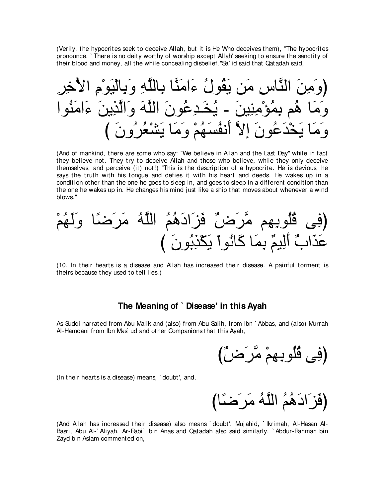(Verily, the hypocrites seek to deceive Allah, but it is He Who deceives them), "The hypocrites pronounce, ` There is no deity worthy of worship except Allah' seeking to ensure the sanctity of their blood and money, all the while concealing disbelief.''Sa` id said that Qatadah said,

⌒ゲ⌒カ∇Εや ⌒ュ∇ヲ∠Β∇ャゅ⌒よ∠ヱ ⌒ヮzヤャゅ⌒よ ゅzレ∠ョや∠¬ ⊥メヲ⊥ボ∠Α リ∠ョ ⌒サゅzレャや ∠リ⌒ョ∠ヱぴ やヲ⊥レ∠ョや∠¬ ∠リΑ⌒グzャや∠ヱ ∠ヮzヤャや ∠ラヲ⊥ハ⌒ギ⇒∠ガ⊥Α - ∠リΒ⌒レ⌒ョ∇ぽ⊥ヨ⌒よ ユ⊥ワ ゅ∠ョ∠ヱ び ∠ラヱ⊥ゲ⊥バ∇ゼ∠Α ゅ∠ョ∠ヱ ∇ユ⊥ヰ∠ジ⊥ヘル∠ぺ zΙま ∠ラヲ⊥ハ∠ギ∇ガ∠Α ゅ∠ョ∠ヱ

(And of mankind, there are some who say: "We believe in Allah and the Last Day'' while in fact they believe not. They try to deceive Allah and those who believe, while they only deceive themselves, and perceive (it) not!) "This is the description of a hypocrite. He is devious, he says the truth with his tongue and defies it with his heart and deeds. He wakes up in a condition other than the one he goes to sleep in, and goes to sleep in a different condition than the one he wakes up in. He changes his mind just like a ship that moves about whenever a wind blows.''



(10. In their hearts is a disease and Allah has increased their disease. A painful torment is theirs because they used to tell lies.)

# **The Meaning of ` Disease' in this Ayah**

As-Suddi narrated from Abu Malik and (also) from Abu Salih, from Ibn ` Abbas, and (also) Murrah Al-Hamdani from Ibn Mas` ud and other Companions that this Ayah,

(فِي ڤَلُوبِـهِمْ مَّرَضٌّ

(In their hearts is a disease) means, ` doubt', and,

(فَزَادَهُمُ اللَّهُ مَر<sup>َ</sup>ضنًا)

(And Allah has increased their disease) also means ` doubt'. Muj ahid, ` Ikrimah, Al-Hasan Al-Basri, Abu Al-` Aliyah, Ar-Rabi` bin Anas and Qatadah also said similarly. ` Abdur-Rahman bin Zayd bin Aslam commented on,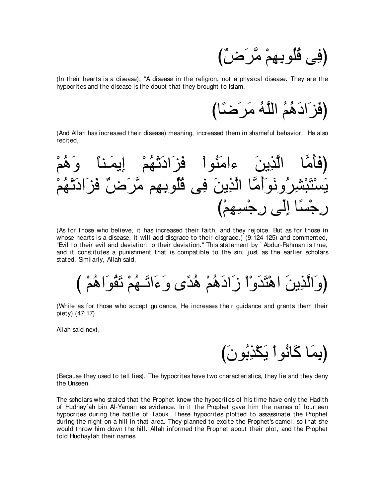(فِي ڤُلُوبِـهِمْ مَّرَضٌ)

(In their hearts is a disease), "A disease in the religion, not a physical disease. They are the hypocrites and the disease is the doubt that they brought to Islam.

(فَزَادَهُمُ اللَّهُ مَرَضَـًا)

(And Allah has increased their disease) meaning, increased them in shameful behavior.'' He also recited,

(فَأَمَّا الَّذِينَ ءامَنُواْ فَزَادَتْهُمْ إِيمَـنَا وَهُمْ ين فِي قُلُو بِـهِم رحْسَا إِلَى رجْسِهِمْ)

(As for those who believe, it has increased their faith, and they rej oice. But as for those in whose hearts is a disease, it will add disgrace to their disgrace.) (9:124-125) and commented, "Evil to their evil and deviation to their deviation.'' This statement by ` Abdur-Rahman is true, and it constitutes a punishment that is compatible to the sin, just as the earlier scholars stated. Smilarly, Allah said,

(وَالَّذِينَ اهْتَدَوْاْ زَادَهُمْ هُدًى وَءَاتَـهُمْ تَقْوَاهُمْ )

(While as for those who accept guidance, He increases their guidance and grants them their piety) (47:17).

Allah said next,

(بِمَا كَانُو أَ يَكْذِبُو نَ)

(Because they used to tell lies). The hypocrites have two characteristics, they lie and they deny the Unseen.

The scholars who stated that the Prophet knew the hypocrites of his time have only the Hadith of Hudhayfah bin Al-Yaman as evidence. In it the Prophet gave him the names of fourteen hypocrites during the battle of Tabuk. These hypocrites plotted to assassinate the Prophet during the night on a hill in that area. They planned to excite the Prophet's camel, so that she would throw him down the hill. Allah informed the Prophet about their plot, and the Prophet told Hudhayfah their names.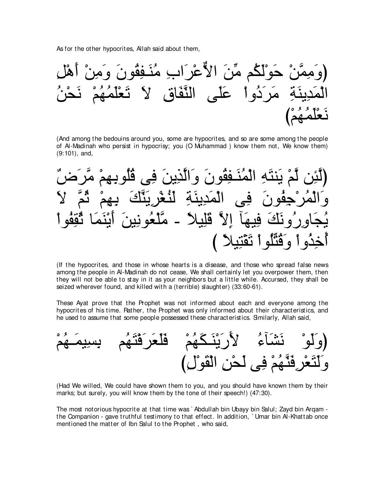As for the other hypocrites, Allah said about them,

(And among the bedouins around you, some are hypocrites, and so are some among the people of Al-Madinah who persist in hypocrisy; you (O Muhammad) know them not, We know them)  $(9:101)$ , and,

di A قنله ا

(If the hypocrites, and those in whose hearts is a disease, and those who spread false news among the people in Al-Madinah do not cease, We shall certainly let you overpower them, then they will not be able to stay in it as your neighbors but a little while. Accursed, they shall be seized wherever found, and killed with a (terrible) slaughter) (33:60-61).

These Ayat prove that the Prophet was not informed about each and everyone among the hypocrites of his time. Pather, the Prophet was only informed about their characteristics, and he used to assume that some people possessed these characteristics. Similarly, Allah said,



(Had We willed, We could have shown them to you, and you should have known them by their marks; but surely, you will know them by the tone of their speech!) (47:30).

The most notorious hypocrite at that time was `Abdullah bin Ubayy bin Salul; Zayd bin Argam the Companion - gave truthful testimony to that effect. In addition, `Umar bin Al-Khattab once mentioned the matter of Ibn Salul to the Prophet, who said,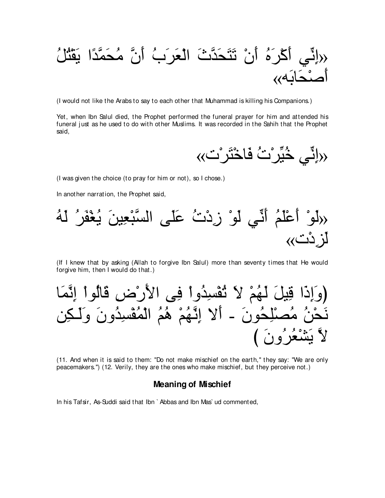رراِنِّي أَكُرَهُ أنُ تَتَحَدَّتَ الَعَرَبُ أَنَّ مُحَمَّدًا يَقُنُلُ
$$
\sum_{i=1}^{n} a_i
$$
ا

(I would not like the Arabs to say to each other that Muhammad is killing his Companions.)

Yet, when Ibn Salul died, the Prophet performed the funeral prayer for him and attended his funeral just as he used to do with other Muslims. It was recorded in the Sahih that the Prophet said,

«إِنِّي خَيِّرْتُ فَاخْتَر ْت»،

(I was given the choice (to pray for him or not), so I chose.)

In another narration, the Prophet said,



(If I knew that by asking (Allah to forgive Ibn Salul) more than seventy times that He would forgive him, then I would do that.)



(11. And when it is said to them: "Do not make mischief on the earth," they say: "We are only peacemakers.") (12. Verily, they are the ones who make mischief, but they perceive not.)

# **Meaning of Mischief**

In his Tafsir, As-Suddi said that Ibn `Abbas and Ibn Mas` ud commented,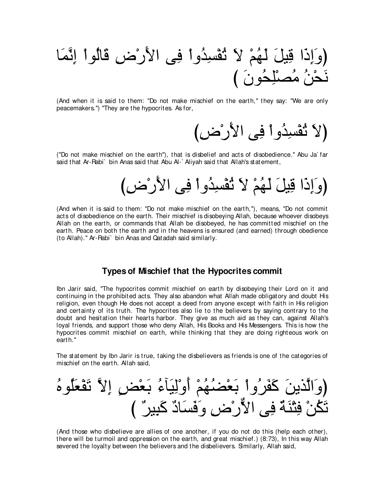ゅ∠ヨzル⌒ま ∇やヲ⊥ャゅ∠ホ ⌒チ∇ケ∠Εや ヴ⌒プ ∇やヱ⊥ギ⌒ジ∇ヘ⊥ゎ ∠Ι ∇ユ⊥ヰ∠ャ ∠モΒ⌒ホ や∠ク⌒ま∠ヱぴ び ∠ラヲ⊥エ⌒ヤ∇ダ⊥ョ ⊥リ∇エ∠ル

(And when it is said to them: "Do not make mischief on the earth," they say: "We are only peacemakers.'') "They are the hypocrites. As for,

び⌒チ∇ケ∠Εや ヴ⌒プ ∇やヱ⊥ギ⌒ジ∇ヘ⊥ゎ ∠Ιぴ

("Do not make mischief on the earth''), that is disbelief and acts of disobedience.'' Abu Ja` far said that Ar-Rabi` bin Anas said that Abu Al-` Aliyah said that Allah's statement,

び⌒チ∇ケ∠Εや ヴ⌒プ ∇やヱ⊥ギ⌒ジ∇ヘ⊥ゎ ∠Ι ∇ユ⊥ヰ∠ャ ∠モΒ⌒ホ や∠ク⌒ま∠ヱぴ

(And when it is said to them: "Do not make mischief on the earth,''), means, "Do not commit acts of disobedience on the earth. Their mischief is disobeying Allah, because whoever disobeys Allah on the earth, or commands that Allah be disobeyed, he has committed mischief on the earth. Peace on both the earth and in the heavens is ensured (and earned) through obedience (to Allah).'' Ar-Rabi` bin Anas and Qatadah said similarly.

### **Types of Mischief that the Hypocrites commit**

Ibn Jarir said, "The hypocrites commit mischief on earth by disobeying their Lord on it and continuing in the prohibited acts. They also abandon what Allah made obligatory and doubt His religion, even though He does not accept a deed from anyone except with faith in His religion and certainty of its truth. The hypocrites also lie to the believers by saying contrary to the doubt and hesitation their hearts harbor. They give as much aid as they can, against Allah's loyal friends, and support those who deny Allah, His Books and His Messengers. This is how the hypocrites commit mischief on earth, while thinking that they are doing righteous work on earth.''

The statement by Ibn Jarir is true, taking the disbelievers as friends is one of the categories of mischief on the earth. Allah said,

⊥ロヲ⊥ヤ∠バ∇ヘ∠ゎ zΙ⌒ま ∃ヂ∇バ∠よ ⊥¬べ∠Β⌒ャ∇ヱ∠ぺ ∇ユ⊥ヰ⊥ツ∇バ∠よ ∇やヱ⊥ゲ∠ヘ∠ミ ∠リΑグzャや∠ヱぴ び ∀ゲΒ⌒ら∠ミ ∀キゅ∠ジ∠プ∠ヱ ⌒チ∇ケxΙや ヴ⌒プ ∀る∠レ∇わ⌒プ ∇リ⊥ム∠ゎ

(And those who disbelieve are allies of one another, if you do not do this (help each other), there will be turmoil and oppression on the earth, and great mischief.) (8:73), In this way Allah severed the loyalty between the believers and the disbelievers. Similarly, Allah said,